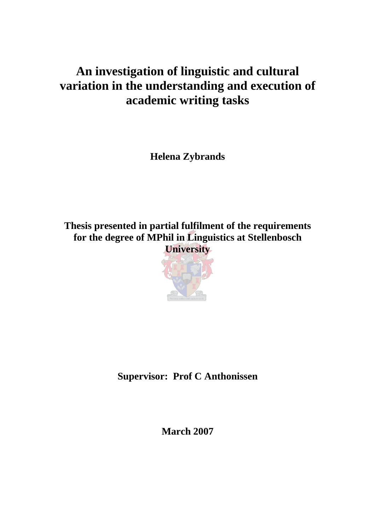# **An investigation of linguistic and cultural variation in the understanding and execution of academic writing tasks**

**Helena Zybrands** 

**Thesis presented in partial fulfilment of the requirements for the degree of MPhil in Linguistics at Stellenbosch University** 



**Supervisor: Prof C Anthonissen** 

**March 2007**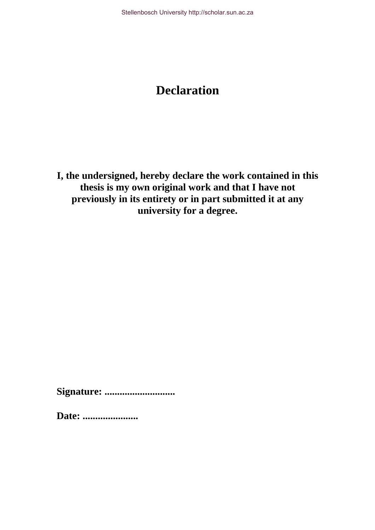# **Declaration**

**I, the undersigned, hereby declare the work contained in this thesis is my own original work and that I have not previously in its entirety or in part submitted it at any university for a degree.** 

**Signature: ............................** 

**Date: ......................**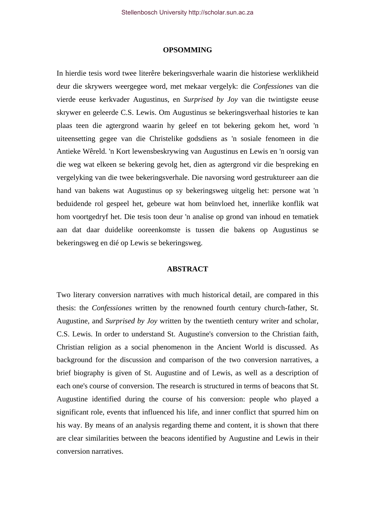#### **OPSOMMING**

In hierdie tesis word twee literêre bekeringsverhale waarin die historiese werklikheid deur die skrywers weergegee word, met mekaar vergelyk: die *Confessiones* van die vierde eeuse kerkvader Augustinus, en *Surprised by Joy* van die twintigste eeuse skrywer en geleerde C.S. Lewis. Om Augustinus se bekeringsverhaal histories te kan plaas teen die agtergrond waarin hy geleef en tot bekering gekom het, word 'n uiteensetting gegee van die Christelike godsdiens as 'n sosiale fenomeen in die Antieke Wêreld. 'n Kort lewensbeskrywing van Augustinus en Lewis en 'n oorsig van die weg wat elkeen se bekering gevolg het, dien as agtergrond vir die bespreking en vergelyking van die twee bekeringsverhale. Die navorsing word gestruktureer aan die hand van bakens wat Augustinus op sy bekeringsweg uitgelig het: persone wat 'n beduidende rol gespeel het, gebeure wat hom beïnvloed het, innerlike konflik wat hom voortgedryf het. Die tesis toon deur 'n analise op grond van inhoud en tematiek aan dat daar duidelike ooreenkomste is tussen die bakens op Augustinus se bekeringsweg en dié op Lewis se bekeringsweg.

## **ABSTRACT**

Two literary conversion narratives with much historical detail, are compared in this thesis: the *Confessiones* written by the renowned fourth century church-father, St. Augustine, and *Surprised by Joy* written by the twentieth century writer and scholar, C.S. Lewis. In order to understand St. Augustine's conversion to the Christian faith, Christian religion as a social phenomenon in the Ancient World is discussed. As background for the discussion and comparison of the two conversion narratives, a brief biography is given of St. Augustine and of Lewis, as well as a description of each one's course of conversion. The research is structured in terms of beacons that St. Augustine identified during the course of his conversion: people who played a significant role, events that influenced his life, and inner conflict that spurred him on his way. By means of an analysis regarding theme and content, it is shown that there are clear similarities between the beacons identified by Augustine and Lewis in their conversion narratives.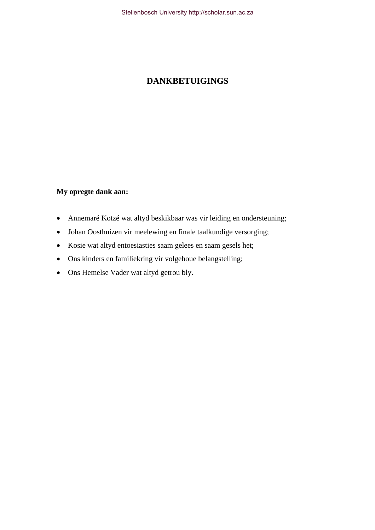## **DANKBETUIGINGS**

## **My opregte dank aan:**

- Annemaré Kotzé wat altyd beskikbaar was vir leiding en ondersteuning;
- Johan Oosthuizen vir meelewing en finale taalkundige versorging;
- Kosie wat altyd entoesiasties saam gelees en saam gesels het;
- Ons kinders en familiekring vir volgehoue belangstelling;
- Ons Hemelse Vader wat altyd getrou bly.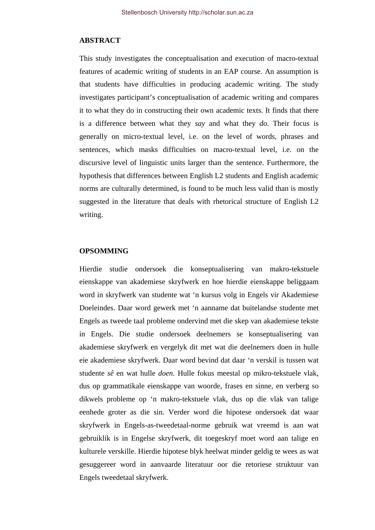## **ABSTRACT**

This study investigates the conceptualisation and execution of macro-textual features of academic writing of students in an EAP course. An assumption is that students have difficulties in producing academic writing. The study investigates participant's conceptualisation of academic writing and compares it to what they do in constructing their own academic texts. It finds that there is a difference between what they *say* and what they *do*. Their focus is generally on micro-textual level, i.e. on the level of words, phrases and sentences, which masks difficulties on macro-textual level, i.e. on the discursive level of linguistic units larger than the sentence. Furthermore, the hypothesis that differences between English L2 students and English academic norms are culturally determined, is found to be much less valid than is mostly suggested in the literature that deals with rhetorical structure of English L2 writing.

#### **OPSOMMING**

Hierdie studie ondersoek die konseptualisering van makro-tekstuele eienskappe van akademiese skryfwerk en hoe hierdie eienskappe beliggaam word in skryfwerk van studente wat 'n kursus volg in Engels vir Akademiese Doeleindes. Daar word gewerk met 'n aanname dat buitelandse studente met Engels as tweede taal probleme ondervind met die skep van akademiese tekste in Engels. Die studie ondersoek deelnemers se konseptualisering van akademiese skryfwerk en vergelyk dit met wat die deelnemers doen in hulle eie akademiese skryfwerk. Daar word bevind dat daar 'n verskil is tussen wat studente *sê* en wat hulle *doen*. Hulle fokus meestal op mikro-tekstuele vlak, dus op grammatikale eienskappe van woorde, frases en sinne, en verberg so dikwels probleme op 'n makro-tekstuele vlak, dus op die vlak van talige eenhede groter as die sin. Verder word die hipotese ondersoek dat waar skryfwerk in Engels-as-tweedetaal-norme gebruik wat vreemd is aan wat gebruiklik is in Engelse skryfwerk, dit toegeskryf moet word aan talige en kulturele verskille. Hierdie hipotese blyk heelwat minder geldig te wees as wat gesuggereer word in aanvaarde literatuur oor die retoriese struktuur van Engels tweedetaal skryfwerk.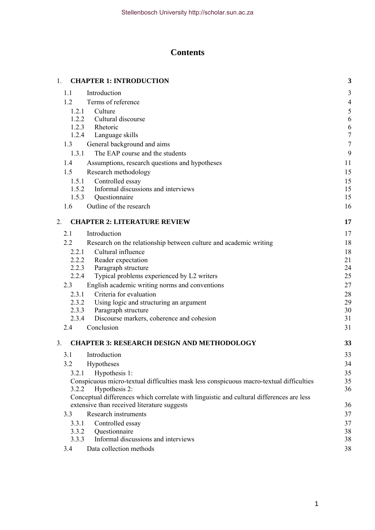## **Contents**

| 1. |                                     | <b>CHAPTER 1: INTRODUCTION</b>                                                           | 3              |
|----|-------------------------------------|------------------------------------------------------------------------------------------|----------------|
|    | 1.1                                 | Introduction                                                                             | 3              |
|    | 1.2                                 | Terms of reference                                                                       | $\overline{4}$ |
|    | 1.2.1                               | Culture                                                                                  | $\sqrt{5}$     |
|    | 1.2.2                               | Cultural discourse                                                                       | 6              |
|    |                                     | 1.2.3 Rhetoric                                                                           | 6              |
|    |                                     | 1.2.4 Language skills                                                                    | $\sqrt{ }$     |
|    | 1.3                                 | General background and aims                                                              | $\overline{7}$ |
|    | 1.3.1                               | The EAP course and the students                                                          | 9              |
|    | 1.4                                 | Assumptions, research questions and hypotheses                                           | 11             |
|    | 1.5                                 | Research methodology                                                                     | 15             |
|    | 1.5.1                               | Controlled essay                                                                         | 15             |
|    | 1.5.2                               | Informal discussions and interviews                                                      | 15             |
|    | 1.5.3                               | Questionnaire                                                                            | 15             |
|    | 1.6                                 | Outline of the research                                                                  | 16             |
| 2. | <b>CHAPTER 2: LITERATURE REVIEW</b> |                                                                                          | 17             |
|    | 2.1                                 | Introduction                                                                             | 17             |
|    | 2.2                                 | Research on the relationship between culture and academic writing                        | 18             |
|    | 2.2.1                               | Cultural influence                                                                       | 18             |
|    | 2.2.2                               | Reader expectation                                                                       | 21             |
|    | 2.2.3                               | Paragraph structure                                                                      | 24             |
|    | 2.2.4                               | Typical problems experienced by L2 writers                                               | 25             |
|    | 2.3                                 | English academic writing norms and conventions                                           | 27             |
|    | 2.3.1                               | Criteria for evaluation                                                                  | 28             |
|    | 2.3.2                               | Using logic and structuring an argument                                                  | 29             |
|    | 2.3.3                               | Paragraph structure                                                                      | 30             |
|    | 2.3.4                               | Discourse markers, coherence and cohesion                                                | 31             |
|    | 2.4                                 | Conclusion                                                                               | 31             |
| 3. |                                     | <b>CHAPTER 3: RESEARCH DESIGN AND METHODOLOGY</b>                                        | 33             |
|    | 3.1                                 | Introduction                                                                             | 33             |
|    | 3.2                                 | Hypotheses                                                                               | 34             |
|    | 3.2.1                               | Hypothesis 1:                                                                            | 35             |
|    |                                     | Conspicuous micro-textual difficulties mask less conspicuous macro-textual difficulties  | 35             |
|    | 3.2.2                               | Hypothesis 2:                                                                            | 36             |
|    |                                     | Conceptual differences which correlate with linguistic and cultural differences are less |                |
|    |                                     | extensive than received literature suggests                                              | 36             |
|    | 3.3                                 | Research instruments                                                                     | 37             |
|    | 3.3.1                               | Controlled essay                                                                         | 37             |
|    | 3.3.2                               | Questionnaire<br>Informal discussions and interviews                                     | 38             |
|    | 3.3.3                               |                                                                                          | 38             |
|    | 3.4                                 | Data collection methods                                                                  | 38             |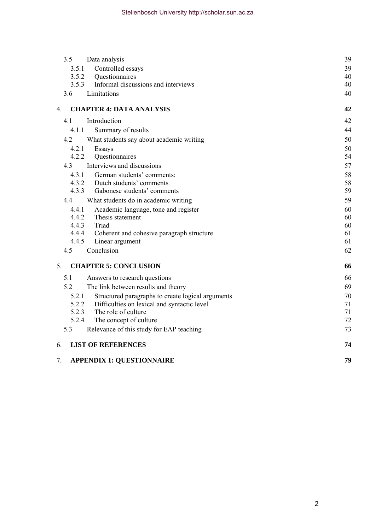| 3.5<br>Data analysis                                       | 39 |  |
|------------------------------------------------------------|----|--|
| 3.5.1<br>Controlled essays                                 | 39 |  |
| Questionnaires<br>3.5.2                                    | 40 |  |
| Informal discussions and interviews<br>3.5.3               | 40 |  |
| Limitations<br>3.6                                         | 40 |  |
| <b>CHAPTER 4: DATA ANALYSIS</b><br>4.                      | 42 |  |
| 4.1<br>Introduction                                        | 42 |  |
| 4.1.1<br>Summary of results                                | 44 |  |
| 4.2<br>What students say about academic writing            | 50 |  |
| 4.2.1<br>Essays                                            | 50 |  |
| 4.2.2<br>Questionnaires                                    | 54 |  |
| Interviews and discussions<br>4.3                          | 57 |  |
| 4.3.1<br>German students' comments:                        | 58 |  |
| 4.3.2<br>Dutch students' comments                          | 58 |  |
| 4.3.3<br>Gabonese students' comments                       | 59 |  |
| 4.4<br>What students do in academic writing                | 59 |  |
| 4.4.1<br>Academic language, tone and register              | 60 |  |
| 4.4.2<br>Thesis statement                                  | 60 |  |
| 4.4.3<br>Triad                                             | 60 |  |
| 4.4.4<br>Coherent and cohesive paragraph structure         | 61 |  |
| 4.4.5<br>Linear argument                                   | 61 |  |
| Conclusion<br>4.5                                          | 62 |  |
| <b>CHAPTER 5: CONCLUSION</b><br>$5_{-}$                    | 66 |  |
| 5.1<br>Answers to research questions                       | 66 |  |
| 52<br>The link between results and theory                  | 69 |  |
| 5.2.1<br>Structured paragraphs to create logical arguments | 70 |  |
| 5.2.2<br>Difficulties on lexical and syntactic level       | 71 |  |
| 5.2.3<br>The role of culture                               | 71 |  |
| 5.2.4<br>The concept of culture                            | 72 |  |
| Relevance of this study for EAP teaching<br>5.3            | 73 |  |
| <b>LIST OF REFERENCES</b><br>6.                            | 74 |  |
| <b>APPENDIX 1: QUESTIONNAIRE</b><br>7.                     |    |  |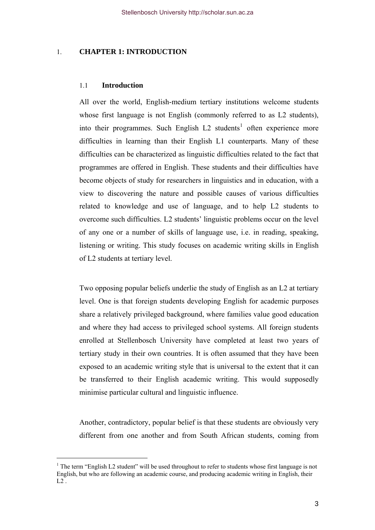## <span id="page-7-0"></span>1. **CHAPTER 1: INTRODUCTION**

#### 1.1 **Introduction**

All over the world, English-medium tertiary institutions welcome students whose first language is not English (commonly referred to as L2 students), into their programmes. Such English  $L2$  students<sup>[1](#page-7-1)</sup> often experience more difficulties in learning than their English L1 counterparts. Many of these difficulties can be characterized as linguistic difficulties related to the fact that programmes are offered in English. These students and their difficulties have become objects of study for researchers in linguistics and in education, with a view to discovering the nature and possible causes of various difficulties related to knowledge and use of language, and to help L2 students to overcome such difficulties. L2 students' linguistic problems occur on the level of any one or a number of skills of language use, i.e. in reading, speaking, listening or writing. This study focuses on academic writing skills in English of L2 students at tertiary level.

Two opposing popular beliefs underlie the study of English as an L2 at tertiary level. One is that foreign students developing English for academic purposes share a relatively privileged background, where families value good education and where they had access to privileged school systems. All foreign students enrolled at Stellenbosch University have completed at least two years of tertiary study in their own countries. It is often assumed that they have been exposed to an academic writing style that is universal to the extent that it can be transferred to their English academic writing. This would supposedly minimise particular cultural and linguistic influence.

Another, contradictory, popular belief is that these students are obviously very different from one another and from South African students, coming from

<span id="page-7-1"></span> $1$  The term "English L2 student" will be used throughout to refer to students whose first language is not English, but who are following an academic course, and producing academic writing in English, their L2 .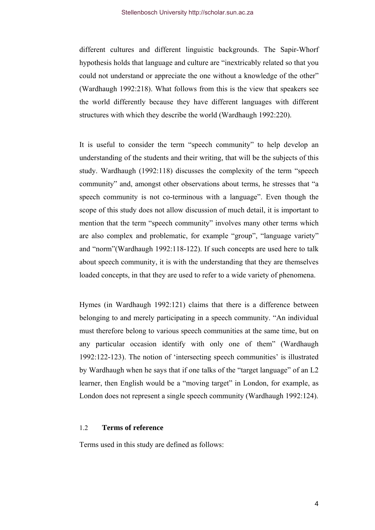<span id="page-8-0"></span>different cultures and different linguistic backgrounds. The Sapir-Whorf hypothesis holds that language and culture are "inextricably related so that you could not understand or appreciate the one without a knowledge of the other" (Wardhaugh 1992:218). What follows from this is the view that speakers see the world differently because they have different languages with different structures with which they describe the world (Wardhaugh 1992:220).

It is useful to consider the term "speech community" to help develop an understanding of the students and their writing, that will be the subjects of this study. Wardhaugh (1992:118) discusses the complexity of the term "speech community" and, amongst other observations about terms, he stresses that "a speech community is not co-terminous with a language". Even though the scope of this study does not allow discussion of much detail, it is important to mention that the term "speech community" involves many other terms which are also complex and problematic, for example "group", "language variety" and "norm"(Wardhaugh 1992:118-122). If such concepts are used here to talk about speech community, it is with the understanding that they are themselves loaded concepts, in that they are used to refer to a wide variety of phenomena.

Hymes (in Wardhaugh 1992:121) claims that there is a difference between belonging to and merely participating in a speech community. "An individual must therefore belong to various speech communities at the same time, but on any particular occasion identify with only one of them" (Wardhaugh 1992:122-123). The notion of 'intersecting speech communities' is illustrated by Wardhaugh when he says that if one talks of the "target language" of an L2 learner, then English would be a "moving target" in London, for example, as London does not represent a single speech community (Wardhaugh 1992:124).

## 1.2 **Terms of reference**

Terms used in this study are defined as follows: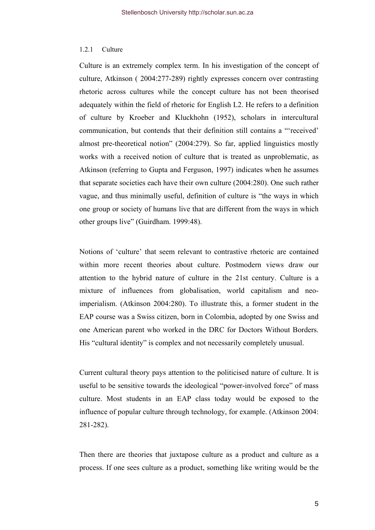#### <span id="page-9-0"></span>1.2.1 Culture

Culture is an extremely complex term. In his investigation of the concept of culture, Atkinson ( 2004:277-289) rightly expresses concern over contrasting rhetoric across cultures while the concept culture has not been theorised adequately within the field of rhetoric for English L2. He refers to a definition of culture by Kroeber and Kluckhohn (1952), scholars in intercultural communication, but contends that their definition still contains a "'received' almost pre-theoretical notion" (2004:279). So far, applied linguistics mostly works with a received notion of culture that is treated as unproblematic, as Atkinson (referring to Gupta and Ferguson, 1997) indicates when he assumes that separate societies each have their own culture (2004:280). One such rather vague, and thus minimally useful, definition of culture is "the ways in which one group or society of humans live that are different from the ways in which other groups live" (Guirdham. 1999:48).

Notions of 'culture' that seem relevant to contrastive rhetoric are contained within more recent theories about culture. Postmodern views draw our attention to the hybrid nature of culture in the 21st century. Culture is a mixture of influences from globalisation, world capitalism and neoimperialism. (Atkinson 2004:280). To illustrate this, a former student in the EAP course was a Swiss citizen, born in Colombia, adopted by one Swiss and one American parent who worked in the DRC for Doctors Without Borders. His "cultural identity" is complex and not necessarily completely unusual.

Current cultural theory pays attention to the politicised nature of culture. It is useful to be sensitive towards the ideological "power-involved force" of mass culture. Most students in an EAP class today would be exposed to the influence of popular culture through technology, for example. (Atkinson 2004: 281-282).

Then there are theories that juxtapose culture as a product and culture as a process. If one sees culture as a product, something like writing would be the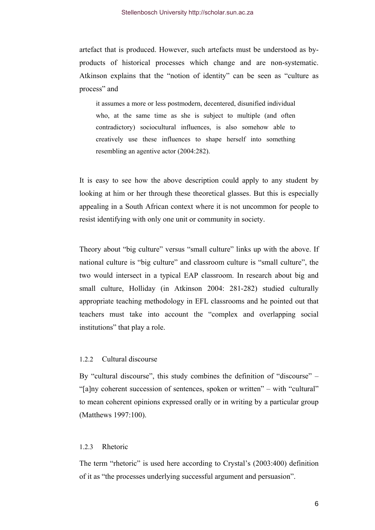<span id="page-10-0"></span>artefact that is produced. However, such artefacts must be understood as byproducts of historical processes which change and are non-systematic. Atkinson explains that the "notion of identity" can be seen as "culture as process" and

it assumes a more or less postmodern, decentered, disunified individual who, at the same time as she is subject to multiple (and often contradictory) sociocultural influences, is also somehow able to creatively use these influences to shape herself into something resembling an agentive actor (2004:282).

It is easy to see how the above description could apply to any student by looking at him or her through these theoretical glasses. But this is especially appealing in a South African context where it is not uncommon for people to resist identifying with only one unit or community in society.

Theory about "big culture" versus "small culture" links up with the above. If national culture is "big culture" and classroom culture is "small culture", the two would intersect in a typical EAP classroom. In research about big and small culture, Holliday (in Atkinson 2004: 281-282) studied culturally appropriate teaching methodology in EFL classrooms and he pointed out that teachers must take into account the "complex and overlapping social institutions" that play a role.

## 1.2.2 Cultural discourse

By "cultural discourse", this study combines the definition of "discourse" – "[a]ny coherent succession of sentences, spoken or written" – with "cultural" to mean coherent opinions expressed orally or in writing by a particular group (Matthews 1997:100).

#### 1.2.3 Rhetoric

The term "rhetoric" is used here according to Crystal's (2003:400) definition of it as "the processes underlying successful argument and persuasion".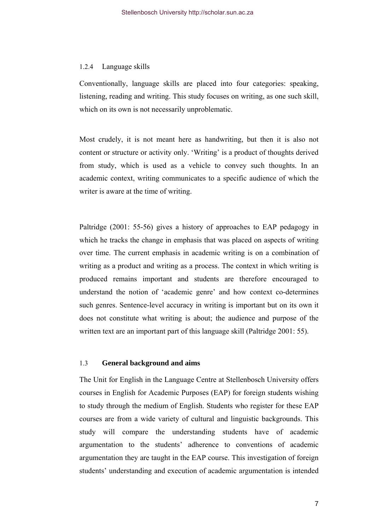### <span id="page-11-0"></span>1.2.4 Language skills

Conventionally, language skills are placed into four categories: speaking, listening, reading and writing. This study focuses on writing, as one such skill, which on its own is not necessarily unproblematic.

Most crudely, it is not meant here as handwriting, but then it is also not content or structure or activity only. 'Writing' is a product of thoughts derived from study, which is used as a vehicle to convey such thoughts. In an academic context, writing communicates to a specific audience of which the writer is aware at the time of writing.

Paltridge (2001: 55-56) gives a history of approaches to EAP pedagogy in which he tracks the change in emphasis that was placed on aspects of writing over time. The current emphasis in academic writing is on a combination of writing as a product and writing as a process. The context in which writing is produced remains important and students are therefore encouraged to understand the notion of 'academic genre' and how context co-determines such genres. Sentence-level accuracy in writing is important but on its own it does not constitute what writing is about; the audience and purpose of the written text are an important part of this language skill (Paltridge 2001: 55).

## 1.3 **General background and aims**

The Unit for English in the Language Centre at Stellenbosch University offers courses in English for Academic Purposes (EAP) for foreign students wishing to study through the medium of English. Students who register for these EAP courses are from a wide variety of cultural and linguistic backgrounds. This study will compare the understanding students have of academic argumentation to the students' adherence to conventions of academic argumentation they are taught in the EAP course. This investigation of foreign students' understanding and execution of academic argumentation is intended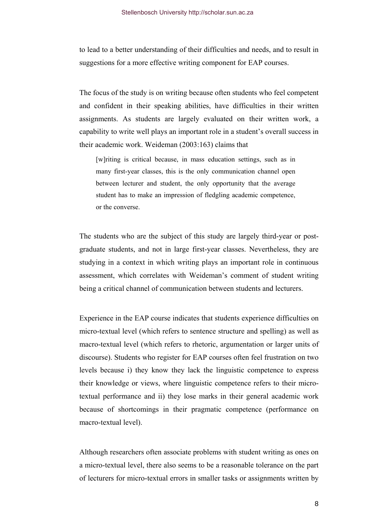to lead to a better understanding of their difficulties and needs, and to result in suggestions for a more effective writing component for EAP courses.

The focus of the study is on writing because often students who feel competent and confident in their speaking abilities, have difficulties in their written assignments. As students are largely evaluated on their written work, a capability to write well plays an important role in a student's overall success in their academic work. Weideman (2003:163) claims that

[w]riting is critical because, in mass education settings, such as in many first-year classes, this is the only communication channel open between lecturer and student, the only opportunity that the average student has to make an impression of fledgling academic competence, or the converse.

The students who are the subject of this study are largely third-year or postgraduate students, and not in large first-year classes. Nevertheless, they are studying in a context in which writing plays an important role in continuous assessment, which correlates with Weideman's comment of student writing being a critical channel of communication between students and lecturers.

Experience in the EAP course indicates that students experience difficulties on micro-textual level (which refers to sentence structure and spelling) as well as macro-textual level (which refers to rhetoric, argumentation or larger units of discourse). Students who register for EAP courses often feel frustration on two levels because i) they know they lack the linguistic competence to express their knowledge or views, where linguistic competence refers to their microtextual performance and ii) they lose marks in their general academic work because of shortcomings in their pragmatic competence (performance on macro-textual level).

Although researchers often associate problems with student writing as ones on a micro-textual level, there also seems to be a reasonable tolerance on the part of lecturers for micro-textual errors in smaller tasks or assignments written by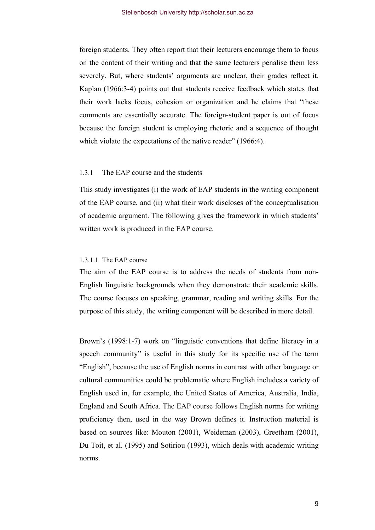<span id="page-13-0"></span>foreign students. They often report that their lecturers encourage them to focus on the content of their writing and that the same lecturers penalise them less severely. But, where students' arguments are unclear, their grades reflect it. Kaplan (1966:3-4) points out that students receive feedback which states that their work lacks focus, cohesion or organization and he claims that "these comments are essentially accurate. The foreign-student paper is out of focus because the foreign student is employing rhetoric and a sequence of thought which violate the expectations of the native reader" (1966:4).

## 1.3.1 The EAP course and the students

This study investigates (i) the work of EAP students in the writing component of the EAP course, and (ii) what their work discloses of the conceptualisation of academic argument. The following gives the framework in which students' written work is produced in the EAP course.

#### 1.3.1.1 The EAP course

The aim of the EAP course is to address the needs of students from non-English linguistic backgrounds when they demonstrate their academic skills. The course focuses on speaking, grammar, reading and writing skills. For the purpose of this study, the writing component will be described in more detail.

Brown's (1998:1-7) work on "linguistic conventions that define literacy in a speech community" is useful in this study for its specific use of the term "English", because the use of English norms in contrast with other language or cultural communities could be problematic where English includes a variety of English used in, for example, the United States of America, Australia, India, England and South Africa. The EAP course follows English norms for writing proficiency then, used in the way Brown defines it. Instruction material is based on sources like: Mouton (2001), Weideman (2003), Greetham (2001), Du Toit, et al. (1995) and Sotiriou (1993), which deals with academic writing norms.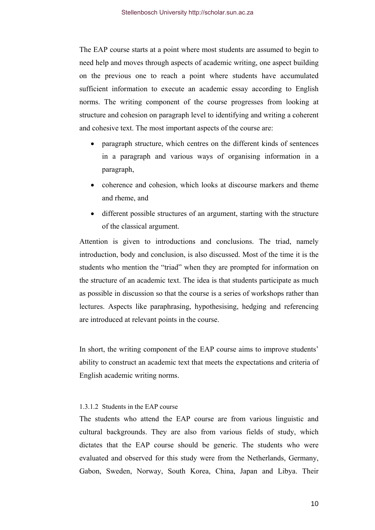The EAP course starts at a point where most students are assumed to begin to need help and moves through aspects of academic writing, one aspect building on the previous one to reach a point where students have accumulated sufficient information to execute an academic essay according to English norms. The writing component of the course progresses from looking at structure and cohesion on paragraph level to identifying and writing a coherent and cohesive text. The most important aspects of the course are:

- paragraph structure, which centres on the different kinds of sentences in a paragraph and various ways of organising information in a paragraph,
- coherence and cohesion, which looks at discourse markers and theme and rheme, and
- different possible structures of an argument, starting with the structure of the classical argument.

Attention is given to introductions and conclusions. The triad, namely introduction, body and conclusion, is also discussed. Most of the time it is the students who mention the "triad" when they are prompted for information on the structure of an academic text. The idea is that students participate as much as possible in discussion so that the course is a series of workshops rather than lectures. Aspects like paraphrasing, hypothesising, hedging and referencing are introduced at relevant points in the course.

In short, the writing component of the EAP course aims to improve students' ability to construct an academic text that meets the expectations and criteria of English academic writing norms.

## 1.3.1.2 Students in the EAP course

The students who attend the EAP course are from various linguistic and cultural backgrounds. They are also from various fields of study, which dictates that the EAP course should be generic. The students who were evaluated and observed for this study were from the Netherlands, Germany, Gabon, Sweden, Norway, South Korea, China, Japan and Libya. Their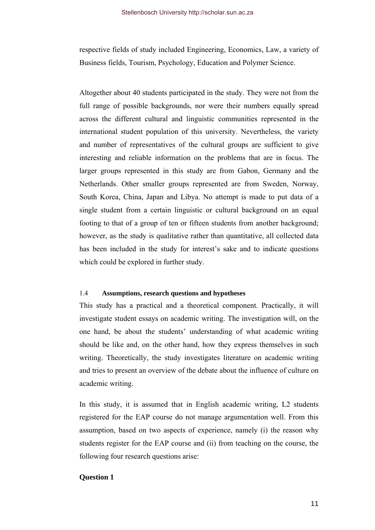<span id="page-15-0"></span>respective fields of study included Engineering, Economics, Law, a variety of Business fields, Tourism, Psychology, Education and Polymer Science.

Altogether about 40 students participated in the study. They were not from the full range of possible backgrounds, nor were their numbers equally spread across the different cultural and linguistic communities represented in the international student population of this university. Nevertheless, the variety and number of representatives of the cultural groups are sufficient to give interesting and reliable information on the problems that are in focus. The larger groups represented in this study are from Gabon, Germany and the Netherlands. Other smaller groups represented are from Sweden, Norway, South Korea, China, Japan and Libya. No attempt is made to put data of a single student from a certain linguistic or cultural background on an equal footing to that of a group of ten or fifteen students from another background; however, as the study is qualitative rather than quantitative, all collected data has been included in the study for interest's sake and to indicate questions which could be explored in further study.

#### 1.4 **Assumptions, research questions and hypotheses**

This study has a practical and a theoretical component. Practically, it will investigate student essays on academic writing. The investigation will, on the one hand, be about the students' understanding of what academic writing should be like and, on the other hand, how they express themselves in such writing. Theoretically, the study investigates literature on academic writing and tries to present an overview of the debate about the influence of culture on academic writing.

In this study, it is assumed that in English academic writing, L2 students registered for the EAP course do not manage argumentation well. From this assumption, based on two aspects of experience, namely (i) the reason why students register for the EAP course and (ii) from teaching on the course, the following four research questions arise:

#### **Question 1**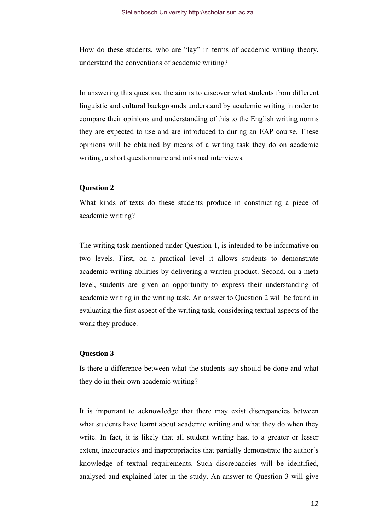How do these students, who are "lay" in terms of academic writing theory, understand the conventions of academic writing?

In answering this question, the aim is to discover what students from different linguistic and cultural backgrounds understand by academic writing in order to compare their opinions and understanding of this to the English writing norms they are expected to use and are introduced to during an EAP course. These opinions will be obtained by means of a writing task they do on academic writing, a short questionnaire and informal interviews.

## **Question 2**

What kinds of texts do these students produce in constructing a piece of academic writing?

The writing task mentioned under Question 1, is intended to be informative on two levels. First, on a practical level it allows students to demonstrate academic writing abilities by delivering a written product. Second, on a meta level, students are given an opportunity to express their understanding of academic writing in the writing task. An answer to Question 2 will be found in evaluating the first aspect of the writing task, considering textual aspects of the work they produce.

## **Question 3**

Is there a difference between what the students say should be done and what they do in their own academic writing?

It is important to acknowledge that there may exist discrepancies between what students have learnt about academic writing and what they do when they write. In fact, it is likely that all student writing has, to a greater or lesser extent, inaccuracies and inappropriacies that partially demonstrate the author's knowledge of textual requirements. Such discrepancies will be identified, analysed and explained later in the study. An answer to Question 3 will give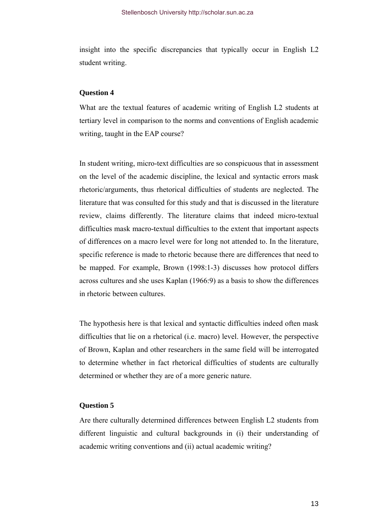insight into the specific discrepancies that typically occur in English L2 student writing.

## **Question 4**

What are the textual features of academic writing of English L2 students at tertiary level in comparison to the norms and conventions of English academic writing, taught in the EAP course?

In student writing, micro-text difficulties are so conspicuous that in assessment on the level of the academic discipline, the lexical and syntactic errors mask rhetoric/arguments, thus rhetorical difficulties of students are neglected. The literature that was consulted for this study and that is discussed in the literature review, claims differently. The literature claims that indeed micro-textual difficulties mask macro-textual difficulties to the extent that important aspects of differences on a macro level were for long not attended to. In the literature, specific reference is made to rhetoric because there are differences that need to be mapped. For example, Brown (1998:1-3) discusses how protocol differs across cultures and she uses Kaplan (1966:9) as a basis to show the differences in rhetoric between cultures.

The hypothesis here is that lexical and syntactic difficulties indeed often mask difficulties that lie on a rhetorical (i.e. macro) level. However, the perspective of Brown, Kaplan and other researchers in the same field will be interrogated to determine whether in fact rhetorical difficulties of students are culturally determined or whether they are of a more generic nature.

## **Question 5**

Are there culturally determined differences between English L2 students from different linguistic and cultural backgrounds in (i) their understanding of academic writing conventions and (ii) actual academic writing?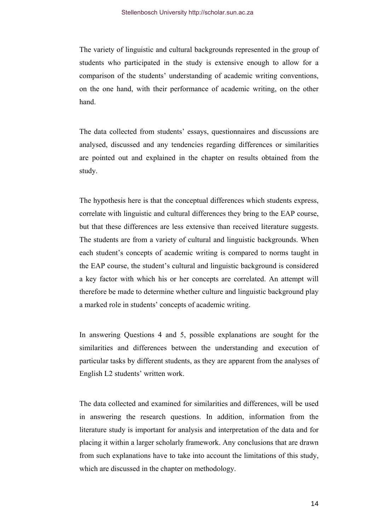The variety of linguistic and cultural backgrounds represented in the group of students who participated in the study is extensive enough to allow for a comparison of the students' understanding of academic writing conventions, on the one hand, with their performance of academic writing, on the other hand.

The data collected from students' essays, questionnaires and discussions are analysed, discussed and any tendencies regarding differences or similarities are pointed out and explained in the chapter on results obtained from the study.

The hypothesis here is that the conceptual differences which students express, correlate with linguistic and cultural differences they bring to the EAP course, but that these differences are less extensive than received literature suggests. The students are from a variety of cultural and linguistic backgrounds. When each student's concepts of academic writing is compared to norms taught in the EAP course, the student's cultural and linguistic background is considered a key factor with which his or her concepts are correlated. An attempt will therefore be made to determine whether culture and linguistic background play a marked role in students' concepts of academic writing.

In answering Questions 4 and 5, possible explanations are sought for the similarities and differences between the understanding and execution of particular tasks by different students, as they are apparent from the analyses of English L2 students' written work.

The data collected and examined for similarities and differences, will be used in answering the research questions. In addition, information from the literature study is important for analysis and interpretation of the data and for placing it within a larger scholarly framework. Any conclusions that are drawn from such explanations have to take into account the limitations of this study, which are discussed in the chapter on methodology.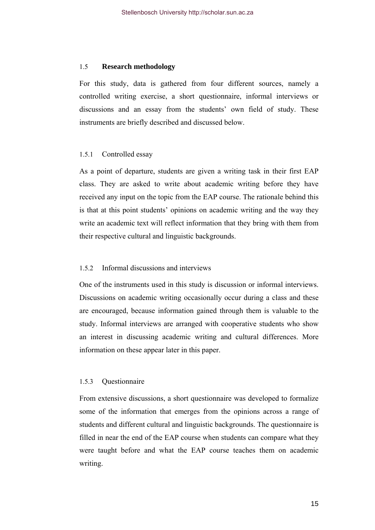### <span id="page-19-0"></span>1.5 **Research methodology**

For this study, data is gathered from four different sources, namely a controlled writing exercise, a short questionnaire, informal interviews or discussions and an essay from the students' own field of study. These instruments are briefly described and discussed below.

## 1.5.1 Controlled essay

As a point of departure, students are given a writing task in their first EAP class. They are asked to write about academic writing before they have received any input on the topic from the EAP course. The rationale behind this is that at this point students' opinions on academic writing and the way they write an academic text will reflect information that they bring with them from their respective cultural and linguistic backgrounds.

## 1.5.2 Informal discussions and interviews

One of the instruments used in this study is discussion or informal interviews. Discussions on academic writing occasionally occur during a class and these are encouraged, because information gained through them is valuable to the study. Informal interviews are arranged with cooperative students who show an interest in discussing academic writing and cultural differences. More information on these appear later in this paper.

## 1.5.3 Questionnaire

From extensive discussions, a short questionnaire was developed to formalize some of the information that emerges from the opinions across a range of students and different cultural and linguistic backgrounds. The questionnaire is filled in near the end of the EAP course when students can compare what they were taught before and what the EAP course teaches them on academic writing.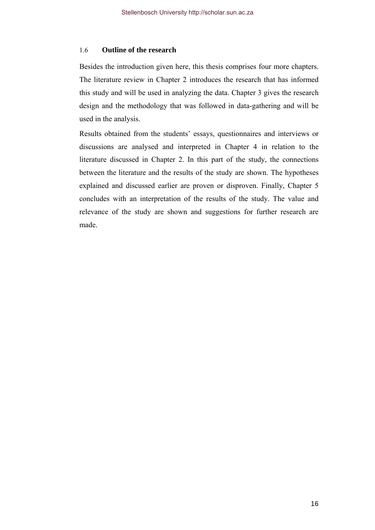## <span id="page-20-0"></span>1.6 **Outline of the research**

Besides the introduction given here, this thesis comprises four more chapters. The literature review in Chapter 2 introduces the research that has informed this study and will be used in analyzing the data. Chapter 3 gives the research design and the methodology that was followed in data-gathering and will be used in the analysis.

Results obtained from the students' essays, questionnaires and interviews or discussions are analysed and interpreted in Chapter 4 in relation to the literature discussed in Chapter 2. In this part of the study, the connections between the literature and the results of the study are shown. The hypotheses explained and discussed earlier are proven or disproven. Finally, Chapter 5 concludes with an interpretation of the results of the study. The value and relevance of the study are shown and suggestions for further research are made.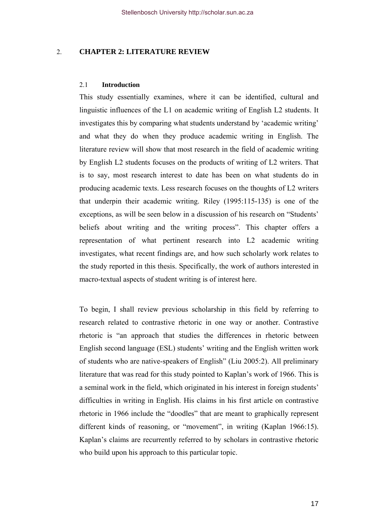## <span id="page-21-0"></span>2. **CHAPTER 2: LITERATURE REVIEW**

## 2.1 **Introduction**

This study essentially examines, where it can be identified, cultural and linguistic influences of the L1 on academic writing of English L2 students. It investigates this by comparing what students understand by 'academic writing' and what they do when they produce academic writing in English. The literature review will show that most research in the field of academic writing by English L2 students focuses on the products of writing of L2 writers. That is to say, most research interest to date has been on what students do in producing academic texts. Less research focuses on the thoughts of L2 writers that underpin their academic writing. Riley (1995:115-135) is one of the exceptions, as will be seen below in a discussion of his research on "Students' beliefs about writing and the writing process". This chapter offers a representation of what pertinent research into L2 academic writing investigates, what recent findings are, and how such scholarly work relates to the study reported in this thesis. Specifically, the work of authors interested in macro-textual aspects of student writing is of interest here.

To begin, I shall review previous scholarship in this field by referring to research related to contrastive rhetoric in one way or another. Contrastive rhetoric is "an approach that studies the differences in rhetoric between English second language (ESL) students' writing and the English written work of students who are native-speakers of English" (Liu 2005:2). All preliminary literature that was read for this study pointed to Kaplan's work of 1966. This is a seminal work in the field, which originated in his interest in foreign students' difficulties in writing in English. His claims in his first article on contrastive rhetoric in 1966 include the "doodles" that are meant to graphically represent different kinds of reasoning, or "movement", in writing (Kaplan 1966:15). Kaplan's claims are recurrently referred to by scholars in contrastive rhetoric who build upon his approach to this particular topic.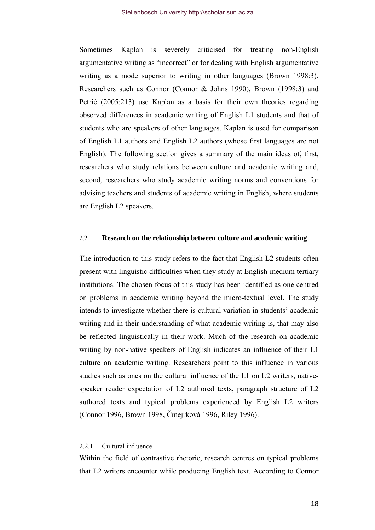<span id="page-22-0"></span>Sometimes Kaplan is severely criticised for treating non-English argumentative writing as "incorrect" or for dealing with English argumentative writing as a mode superior to writing in other languages (Brown 1998:3). Researchers such as Connor (Connor & Johns 1990), Brown (1998:3) and Petrić (2005:213) use Kaplan as a basis for their own theories regarding observed differences in academic writing of English L1 students and that of students who are speakers of other languages. Kaplan is used for comparison of English L1 authors and English L2 authors (whose first languages are not English). The following section gives a summary of the main ideas of, first, researchers who study relations between culture and academic writing and, second, researchers who study academic writing norms and conventions for advising teachers and students of academic writing in English, where students are English L2 speakers.

## 2.2 **Research on the relationship between culture and academic writing**

The introduction to this study refers to the fact that English L2 students often present with linguistic difficulties when they study at English-medium tertiary institutions. The chosen focus of this study has been identified as one centred on problems in academic writing beyond the micro-textual level. The study intends to investigate whether there is cultural variation in students' academic writing and in their understanding of what academic writing is, that may also be reflected linguistically in their work. Much of the research on academic writing by non-native speakers of English indicates an influence of their L1 culture on academic writing. Researchers point to this influence in various studies such as ones on the cultural influence of the L1 on L2 writers, nativespeaker reader expectation of L2 authored texts, paragraph structure of L2 authored texts and typical problems experienced by English L2 writers (Connor 1996, Brown 1998, Čmejrková 1996, Riley 1996).

## 2.2.1 Cultural influence

Within the field of contrastive rhetoric, research centres on typical problems that L2 writers encounter while producing English text. According to Connor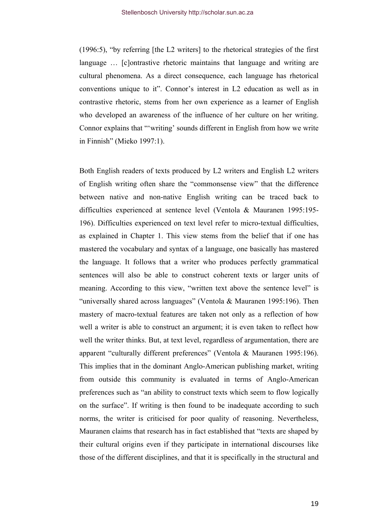(1996:5), "by referring [the L2 writers] to the rhetorical strategies of the first language … [c]ontrastive rhetoric maintains that language and writing are cultural phenomena. As a direct consequence, each language has rhetorical conventions unique to it". Connor's interest in L2 education as well as in contrastive rhetoric, stems from her own experience as a learner of English who developed an awareness of the influence of her culture on her writing. Connor explains that "'writing' sounds different in English from how we write in Finnish" (Mieko 1997:1).

Both English readers of texts produced by L2 writers and English L2 writers of English writing often share the "commonsense view" that the difference between native and non-native English writing can be traced back to difficulties experienced at sentence level (Ventola & Mauranen 1995:195- 196). Difficulties experienced on text level refer to micro-textual difficulties, as explained in Chapter 1. This view stems from the belief that if one has mastered the vocabulary and syntax of a language, one basically has mastered the language. It follows that a writer who produces perfectly grammatical sentences will also be able to construct coherent texts or larger units of meaning. According to this view, "written text above the sentence level" is "universally shared across languages" (Ventola & Mauranen 1995:196). Then mastery of macro-textual features are taken not only as a reflection of how well a writer is able to construct an argument; it is even taken to reflect how well the writer thinks. But, at text level, regardless of argumentation, there are apparent "culturally different preferences" (Ventola & Mauranen 1995:196). This implies that in the dominant Anglo-American publishing market, writing from outside this community is evaluated in terms of Anglo-American preferences such as "an ability to construct texts which seem to flow logically on the surface". If writing is then found to be inadequate according to such norms, the writer is criticised for poor quality of reasoning. Nevertheless, Mauranen claims that research has in fact established that "texts are shaped by their cultural origins even if they participate in international discourses like those of the different disciplines, and that it is specifically in the structural and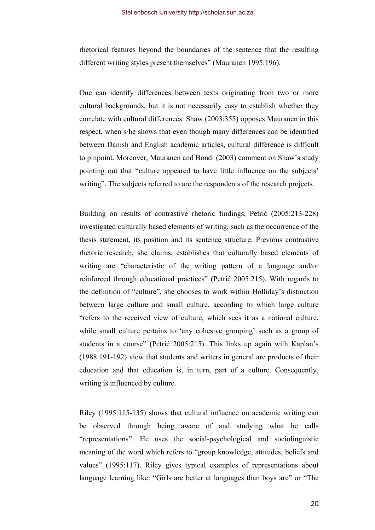rhetorical features beyond the boundaries of the sentence that the resulting different writing styles present themselves" (Mauranen 1995:196).

One can identify differences between texts originating from two or more cultural backgrounds, but it is not necessarily easy to establish whether they correlate with cultural differences. Shaw (2003:355) opposes Mauranen in this respect, when s/he shows that even though many differences can be identified between Danish and English academic articles, cultural difference is difficult to pinpoint. Moreover, Mauranen and Bondi (2003) comment on Shaw's study pointing out that "culture appeared to have little influence on the subjects' writing". The subjects referred to are the respondents of the research projects.

Building on results of contrastive rhetoric findings, Petrić (2005:213-228) investigated culturally based elements of writing, such as the occurrence of the thesis statement, its position and its sentence structure. Previous contrastive rhetoric research, she claims, establishes that culturally based elements of writing are "characteristic of the writing pattern of a language and/or reinforced through educational practices" (Petrić 2005:215). With regards to the definition of "culture", she chooses to work within Holliday's distinction between large culture and small culture, according to which large culture "refers to the received view of culture, which sees it as a national culture, while small culture pertains to 'any cohesive grouping' such as a group of students in a course" (Petrić 2005:215). This links up again with Kaplan's (1988:191-192) view that students and writers in general are products of their education and that education is, in turn, part of a culture. Consequently, writing is influenced by culture.

Riley (1995:115-135) shows that cultural influence on academic writing can be observed through being aware of and studying what he calls "representations". He uses the social-psychological and sociolinguistic meaning of the word which refers to "group knowledge, attitudes, beliefs and values" (1995:117). Riley gives typical examples of representations about language learning like: "Girls are better at languages than boys are" or "The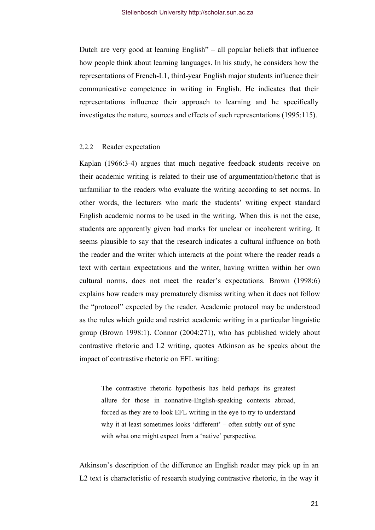<span id="page-25-0"></span>Dutch are very good at learning English" – all popular beliefs that influence how people think about learning languages. In his study, he considers how the representations of French-L1, third-year English major students influence their communicative competence in writing in English. He indicates that their representations influence their approach to learning and he specifically investigates the nature, sources and effects of such representations (1995:115).

#### 2.2.2 Reader expectation

Kaplan (1966:3-4) argues that much negative feedback students receive on their academic writing is related to their use of argumentation/rhetoric that is unfamiliar to the readers who evaluate the writing according to set norms. In other words, the lecturers who mark the students' writing expect standard English academic norms to be used in the writing. When this is not the case, students are apparently given bad marks for unclear or incoherent writing. It seems plausible to say that the research indicates a cultural influence on both the reader and the writer which interacts at the point where the reader reads a text with certain expectations and the writer, having written within her own cultural norms, does not meet the reader's expectations. Brown (1998:6) explains how readers may prematurely dismiss writing when it does not follow the "protocol" expected by the reader. Academic protocol may be understood as the rules which guide and restrict academic writing in a particular linguistic group (Brown 1998:1). Connor (2004:271), who has published widely about contrastive rhetoric and L2 writing, quotes Atkinson as he speaks about the impact of contrastive rhetoric on EFL writing:

The contrastive rhetoric hypothesis has held perhaps its greatest allure for those in nonnative-English-speaking contexts abroad, forced as they are to look EFL writing in the eye to try to understand why it at least sometimes looks 'different' – often subtly out of sync with what one might expect from a 'native' perspective.

Atkinson's description of the difference an English reader may pick up in an L2 text is characteristic of research studying contrastive rhetoric, in the way it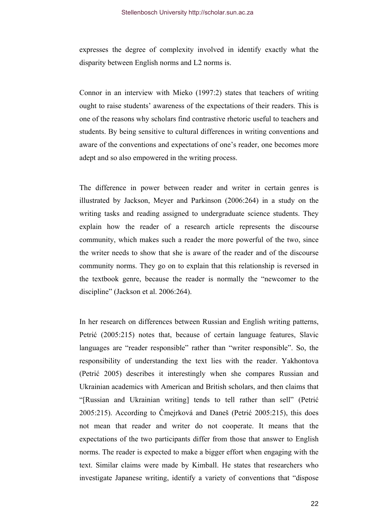expresses the degree of complexity involved in identify exactly what the disparity between English norms and L2 norms is.

Connor in an interview with Mieko (1997:2) states that teachers of writing ought to raise students' awareness of the expectations of their readers. This is one of the reasons why scholars find contrastive rhetoric useful to teachers and students. By being sensitive to cultural differences in writing conventions and aware of the conventions and expectations of one's reader, one becomes more adept and so also empowered in the writing process.

The difference in power between reader and writer in certain genres is illustrated by Jackson, Meyer and Parkinson (2006:264) in a study on the writing tasks and reading assigned to undergraduate science students. They explain how the reader of a research article represents the discourse community, which makes such a reader the more powerful of the two, since the writer needs to show that she is aware of the reader and of the discourse community norms. They go on to explain that this relationship is reversed in the textbook genre, because the reader is normally the "newcomer to the discipline" (Jackson et al. 2006:264).

In her research on differences between Russian and English writing patterns, Petrić (2005:215) notes that, because of certain language features, Slavic languages are "reader responsible" rather than "writer responsible". So, the responsibility of understanding the text lies with the reader. Yakhontova (Petrić 2005) describes it interestingly when she compares Russian and Ukrainian academics with American and British scholars, and then claims that "[Russian and Ukrainian writing] tends to tell rather than sell" (Petrić 2005:215). According to Čmejrková and Daneš (Petrić 2005:215), this does not mean that reader and writer do not cooperate. It means that the expectations of the two participants differ from those that answer to English norms. The reader is expected to make a bigger effort when engaging with the text. Similar claims were made by Kimball. He states that researchers who investigate Japanese writing, identify a variety of conventions that "dispose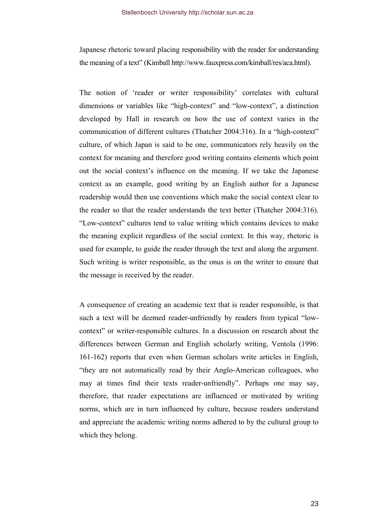Japanese rhetoric toward placing responsibility with the reader for understanding the meaning of a text" (Kimball http://www.fauxpress.com/kimball/res/aca.html).

The notion of 'reader or writer responsibility' correlates with cultural dimensions or variables like "high-context" and "low-context", a distinction developed by Hall in research on how the use of context varies in the communication of different cultures (Thatcher 2004:316). In a "high-context" culture, of which Japan is said to be one, communicators rely heavily on the context for meaning and therefore good writing contains elements which point out the social context's influence on the meaning. If we take the Japanese context as an example, good writing by an English author for a Japanese readership would then use conventions which make the social context clear to the reader so that the reader understands the text better (Thatcher 2004:316). "Low-context" cultures tend to value writing which contains devices to make the meaning explicit regardless of the social context. In this way, rhetoric is used for example, to guide the reader through the text and along the argument. Such writing is writer responsible, as the onus is on the writer to ensure that the message is received by the reader.

A consequence of creating an academic text that is reader responsible, is that such a text will be deemed reader-unfriendly by readers from typical "lowcontext" or writer-responsible cultures. In a discussion on research about the differences between German and English scholarly writing, Ventola (1996: 161-162) reports that even when German scholars write articles in English, "they are not automatically read by their Anglo-American colleagues, who may at times find their texts reader-unfriendly". Perhaps one may say, therefore, that reader expectations are influenced or motivated by writing norms, which are in turn influenced by culture, because readers understand and appreciate the academic writing norms adhered to by the cultural group to which they belong.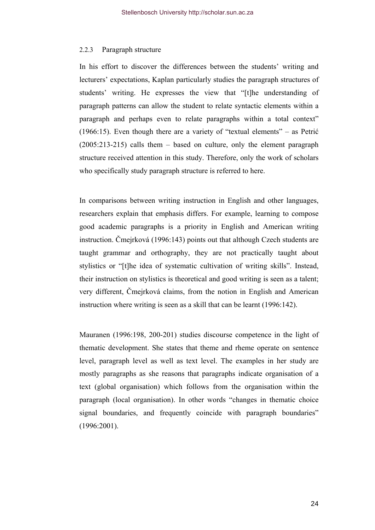## <span id="page-28-0"></span>2.2.3 Paragraph structure

In his effort to discover the differences between the students' writing and lecturers' expectations, Kaplan particularly studies the paragraph structures of students' writing. He expresses the view that "[t]he understanding of paragraph patterns can allow the student to relate syntactic elements within a paragraph and perhaps even to relate paragraphs within a total context" (1966:15). Even though there are a variety of "textual elements" – as Petrić (2005:213-215) calls them – based on culture, only the element paragraph structure received attention in this study. Therefore, only the work of scholars who specifically study paragraph structure is referred to here.

In comparisons between writing instruction in English and other languages, researchers explain that emphasis differs. For example, learning to compose good academic paragraphs is a priority in English and American writing instruction. Čmejrková (1996:143) points out that although Czech students are taught grammar and orthography, they are not practically taught about stylistics or "[t]he idea of systematic cultivation of writing skills". Instead, their instruction on stylistics is theoretical and good writing is seen as a talent; very different, Čmejrková claims, from the notion in English and American instruction where writing is seen as a skill that can be learnt (1996:142).

Mauranen (1996:198, 200-201) studies discourse competence in the light of thematic development. She states that theme and rheme operate on sentence level, paragraph level as well as text level. The examples in her study are mostly paragraphs as she reasons that paragraphs indicate organisation of a text (global organisation) which follows from the organisation within the paragraph (local organisation). In other words "changes in thematic choice signal boundaries, and frequently coincide with paragraph boundaries" (1996:2001).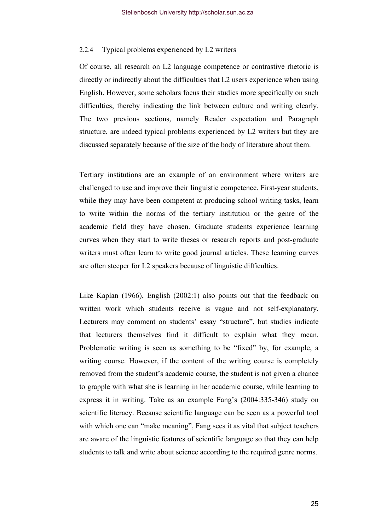## <span id="page-29-0"></span>2.2.4 Typical problems experienced by L2 writers

Of course, all research on L2 language competence or contrastive rhetoric is directly or indirectly about the difficulties that L2 users experience when using English. However, some scholars focus their studies more specifically on such difficulties, thereby indicating the link between culture and writing clearly. The two previous sections, namely Reader expectation and Paragraph structure, are indeed typical problems experienced by L2 writers but they are discussed separately because of the size of the body of literature about them.

Tertiary institutions are an example of an environment where writers are challenged to use and improve their linguistic competence. First-year students, while they may have been competent at producing school writing tasks, learn to write within the norms of the tertiary institution or the genre of the academic field they have chosen. Graduate students experience learning curves when they start to write theses or research reports and post-graduate writers must often learn to write good journal articles. These learning curves are often steeper for L2 speakers because of linguistic difficulties.

Like Kaplan (1966), English (2002:1) also points out that the feedback on written work which students receive is vague and not self-explanatory. Lecturers may comment on students' essay "structure", but studies indicate that lecturers themselves find it difficult to explain what they mean. Problematic writing is seen as something to be "fixed" by, for example, a writing course. However, if the content of the writing course is completely removed from the student's academic course, the student is not given a chance to grapple with what she is learning in her academic course, while learning to express it in writing. Take as an example Fang's (2004:335-346) study on scientific literacy. Because scientific language can be seen as a powerful tool with which one can "make meaning", Fang sees it as vital that subject teachers are aware of the linguistic features of scientific language so that they can help students to talk and write about science according to the required genre norms.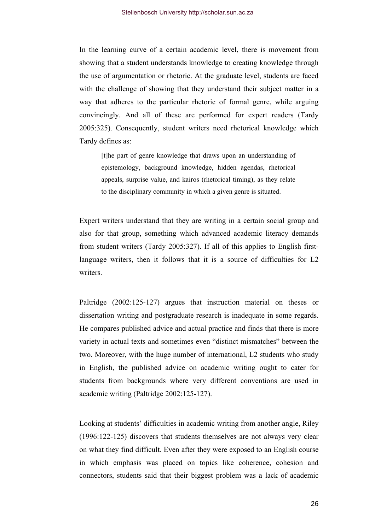In the learning curve of a certain academic level, there is movement from showing that a student understands knowledge to creating knowledge through the use of argumentation or rhetoric. At the graduate level, students are faced with the challenge of showing that they understand their subject matter in a way that adheres to the particular rhetoric of formal genre, while arguing convincingly. And all of these are performed for expert readers (Tardy 2005:325). Consequently, student writers need rhetorical knowledge which Tardy defines as:

[t]he part of genre knowledge that draws upon an understanding of epistemology, background knowledge, hidden agendas, rhetorical appeals, surprise value, and kairos (rhetorical timing), as they relate to the disciplinary community in which a given genre is situated.

Expert writers understand that they are writing in a certain social group and also for that group, something which advanced academic literacy demands from student writers (Tardy 2005:327). If all of this applies to English firstlanguage writers, then it follows that it is a source of difficulties for L2 writers.

Paltridge (2002:125-127) argues that instruction material on theses or dissertation writing and postgraduate research is inadequate in some regards. He compares published advice and actual practice and finds that there is more variety in actual texts and sometimes even "distinct mismatches" between the two. Moreover, with the huge number of international, L2 students who study in English, the published advice on academic writing ought to cater for students from backgrounds where very different conventions are used in academic writing (Paltridge 2002:125-127).

Looking at students' difficulties in academic writing from another angle, Riley (1996:122-125) discovers that students themselves are not always very clear on what they find difficult. Even after they were exposed to an English course in which emphasis was placed on topics like coherence, cohesion and connectors, students said that their biggest problem was a lack of academic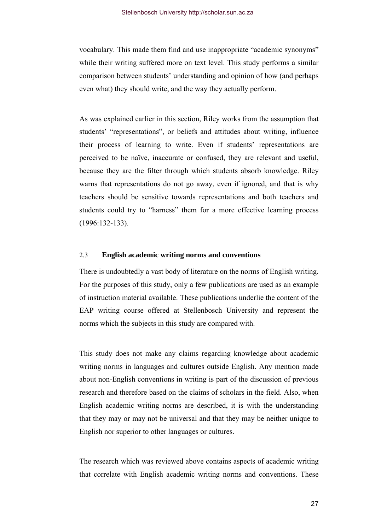<span id="page-31-0"></span>vocabulary. This made them find and use inappropriate "academic synonyms" while their writing suffered more on text level. This study performs a similar comparison between students' understanding and opinion of how (and perhaps even what) they should write, and the way they actually perform.

As was explained earlier in this section, Riley works from the assumption that students' "representations", or beliefs and attitudes about writing, influence their process of learning to write. Even if students' representations are perceived to be naïve, inaccurate or confused, they are relevant and useful, because they are the filter through which students absorb knowledge. Riley warns that representations do not go away, even if ignored, and that is why teachers should be sensitive towards representations and both teachers and students could try to "harness" them for a more effective learning process (1996:132-133).

## 2.3 **English academic writing norms and conventions**

There is undoubtedly a vast body of literature on the norms of English writing. For the purposes of this study, only a few publications are used as an example of instruction material available. These publications underlie the content of the EAP writing course offered at Stellenbosch University and represent the norms which the subjects in this study are compared with.

This study does not make any claims regarding knowledge about academic writing norms in languages and cultures outside English. Any mention made about non-English conventions in writing is part of the discussion of previous research and therefore based on the claims of scholars in the field. Also, when English academic writing norms are described, it is with the understanding that they may or may not be universal and that they may be neither unique to English nor superior to other languages or cultures.

The research which was reviewed above contains aspects of academic writing that correlate with English academic writing norms and conventions. These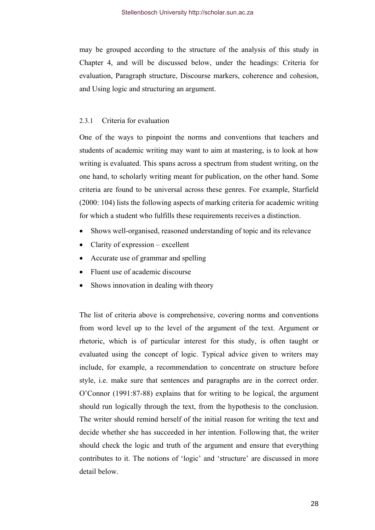<span id="page-32-0"></span>may be grouped according to the structure of the analysis of this study in Chapter 4, and will be discussed below, under the headings: Criteria for evaluation, Paragraph structure, Discourse markers, coherence and cohesion, and Using logic and structuring an argument.

## 2.3.1 Criteria for evaluation

One of the ways to pinpoint the norms and conventions that teachers and students of academic writing may want to aim at mastering, is to look at how writing is evaluated. This spans across a spectrum from student writing, on the one hand, to scholarly writing meant for publication, on the other hand. Some criteria are found to be universal across these genres. For example, Starfield (2000: 104) lists the following aspects of marking criteria for academic writing for which a student who fulfills these requirements receives a distinction.

- Shows well-organised, reasoned understanding of topic and its relevance
- Clarity of expression excellent
- Accurate use of grammar and spelling
- Fluent use of academic discourse
- Shows innovation in dealing with theory

The list of criteria above is comprehensive, covering norms and conventions from word level up to the level of the argument of the text. Argument or rhetoric, which is of particular interest for this study, is often taught or evaluated using the concept of logic. Typical advice given to writers may include, for example, a recommendation to concentrate on structure before style, i.e. make sure that sentences and paragraphs are in the correct order. O'Connor (1991:87-88) explains that for writing to be logical, the argument should run logically through the text, from the hypothesis to the conclusion. The writer should remind herself of the initial reason for writing the text and decide whether she has succeeded in her intention. Following that, the writer should check the logic and truth of the argument and ensure that everything contributes to it. The notions of 'logic' and 'structure' are discussed in more detail below.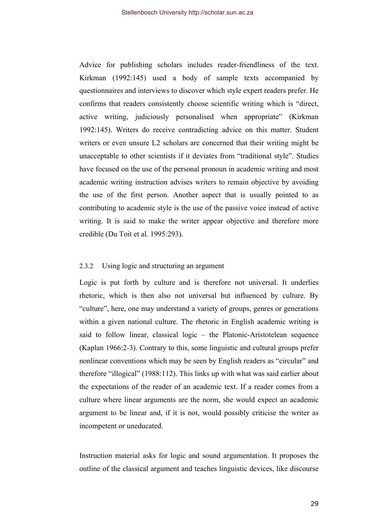<span id="page-33-0"></span>Advice for publishing scholars includes reader-friendliness of the text. Kirkman (1992:145) used a body of sample texts accompanied by questionnaires and interviews to discover which style expert readers prefer. He confirms that readers consistently choose scientific writing which is "direct, active writing, judiciously personalised when appropriate" (Kirkman 1992:145). Writers do receive contradicting advice on this matter. Student writers or even unsure L2 scholars are concerned that their writing might be unacceptable to other scientists if it deviates from "traditional style". Studies have focused on the use of the personal pronoun in academic writing and most academic writing instruction advises writers to remain objective by avoiding the use of the first person. Another aspect that is usually pointed to as contributing to academic style is the use of the passive voice instead of active writing. It is said to make the writer appear objective and therefore more credible (Du Toit et al. 1995:293).

## 2.3.2 Using logic and structuring an argument

Logic is put forth by culture and is therefore not universal. It underlies rhetoric, which is then also not universal but influenced by culture. By "culture", here, one may understand a variety of groups, genres or generations within a given national culture. The rhetoric in English academic writing is said to follow linear, classical logic – the Platonic-Aristotelean sequence (Kaplan 1966:2-3). Contrary to this, some linguistic and cultural groups prefer nonlinear conventions which may be seen by English readers as "circular" and therefore "illogical" (1988:112). This links up with what was said earlier about the expectations of the reader of an academic text. If a reader comes from a culture where linear arguments are the norm, she would expect an academic argument to be linear and, if it is not, would possibly criticise the writer as incompetent or uneducated.

Instruction material asks for logic and sound argumentation. It proposes the outline of the classical argument and teaches linguistic devices, like discourse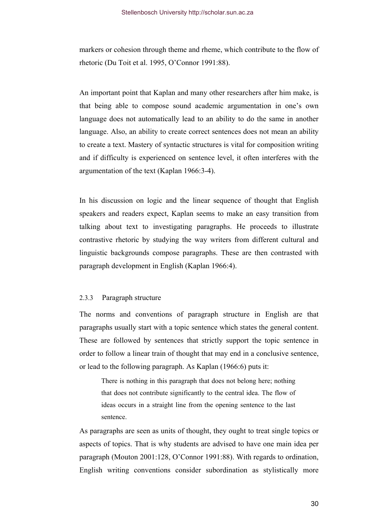<span id="page-34-0"></span>markers or cohesion through theme and rheme, which contribute to the flow of rhetoric (Du Toit et al. 1995, O'Connor 1991:88).

An important point that Kaplan and many other researchers after him make, is that being able to compose sound academic argumentation in one's own language does not automatically lead to an ability to do the same in another language. Also, an ability to create correct sentences does not mean an ability to create a text. Mastery of syntactic structures is vital for composition writing and if difficulty is experienced on sentence level, it often interferes with the argumentation of the text (Kaplan 1966:3-4).

In his discussion on logic and the linear sequence of thought that English speakers and readers expect, Kaplan seems to make an easy transition from talking about text to investigating paragraphs. He proceeds to illustrate contrastive rhetoric by studying the way writers from different cultural and linguistic backgrounds compose paragraphs. These are then contrasted with paragraph development in English (Kaplan 1966:4).

#### 2.3.3 Paragraph structure

The norms and conventions of paragraph structure in English are that paragraphs usually start with a topic sentence which states the general content. These are followed by sentences that strictly support the topic sentence in order to follow a linear train of thought that may end in a conclusive sentence, or lead to the following paragraph. As Kaplan (1966:6) puts it:

There is nothing in this paragraph that does not belong here; nothing that does not contribute significantly to the central idea. The flow of ideas occurs in a straight line from the opening sentence to the last sentence.

As paragraphs are seen as units of thought, they ought to treat single topics or aspects of topics. That is why students are advised to have one main idea per paragraph (Mouton 2001:128, O'Connor 1991:88). With regards to ordination, English writing conventions consider subordination as stylistically more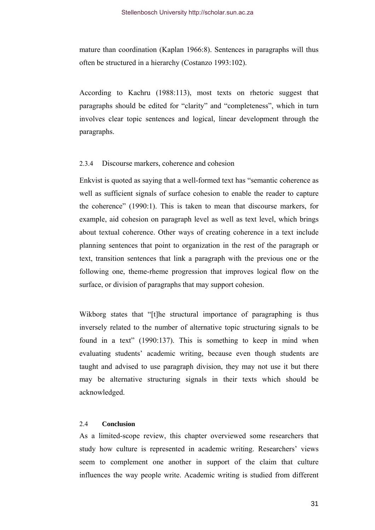<span id="page-35-0"></span>mature than coordination (Kaplan 1966:8). Sentences in paragraphs will thus often be structured in a hierarchy (Costanzo 1993:102).

According to Kachru (1988:113), most texts on rhetoric suggest that paragraphs should be edited for "clarity" and "completeness", which in turn involves clear topic sentences and logical, linear development through the paragraphs.

## 2.3.4 Discourse markers, coherence and cohesion

Enkvist is quoted as saying that a well-formed text has "semantic coherence as well as sufficient signals of surface cohesion to enable the reader to capture the coherence" (1990:1). This is taken to mean that discourse markers, for example, aid cohesion on paragraph level as well as text level, which brings about textual coherence. Other ways of creating coherence in a text include planning sentences that point to organization in the rest of the paragraph or text, transition sentences that link a paragraph with the previous one or the following one, theme-rheme progression that improves logical flow on the surface, or division of paragraphs that may support cohesion.

Wikborg states that "[t]he structural importance of paragraphing is thus inversely related to the number of alternative topic structuring signals to be found in a text" (1990:137). This is something to keep in mind when evaluating students' academic writing, because even though students are taught and advised to use paragraph division, they may not use it but there may be alternative structuring signals in their texts which should be acknowledged.

## 2.4 **Conclusion**

As a limited-scope review, this chapter overviewed some researchers that study how culture is represented in academic writing. Researchers' views seem to complement one another in support of the claim that culture influences the way people write. Academic writing is studied from different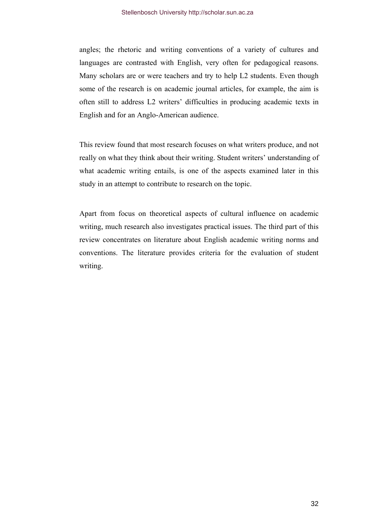angles; the rhetoric and writing conventions of a variety of cultures and languages are contrasted with English, very often for pedagogical reasons. Many scholars are or were teachers and try to help L2 students. Even though some of the research is on academic journal articles, for example, the aim is often still to address L2 writers' difficulties in producing academic texts in English and for an Anglo-American audience.

This review found that most research focuses on what writers produce, and not really on what they think about their writing. Student writers' understanding of what academic writing entails, is one of the aspects examined later in this study in an attempt to contribute to research on the topic.

Apart from focus on theoretical aspects of cultural influence on academic writing, much research also investigates practical issues. The third part of this review concentrates on literature about English academic writing norms and conventions. The literature provides criteria for the evaluation of student writing.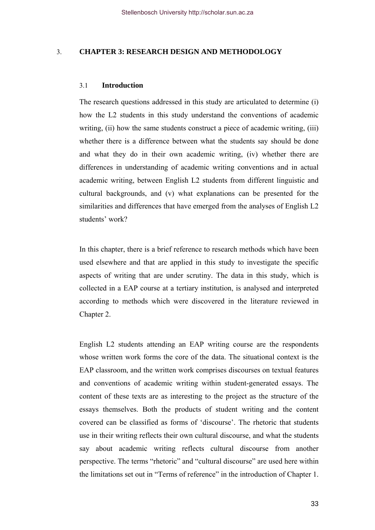# 3. **CHAPTER 3: RESEARCH DESIGN AND METHODOLOGY**

#### 3.1 **Introduction**

The research questions addressed in this study are articulated to determine (i) how the L2 students in this study understand the conventions of academic writing, (ii) how the same students construct a piece of academic writing, (iii) whether there is a difference between what the students say should be done and what they do in their own academic writing, (iv) whether there are differences in understanding of academic writing conventions and in actual academic writing, between English L2 students from different linguistic and cultural backgrounds, and (v) what explanations can be presented for the similarities and differences that have emerged from the analyses of English L2 students' work?

In this chapter, there is a brief reference to research methods which have been used elsewhere and that are applied in this study to investigate the specific aspects of writing that are under scrutiny. The data in this study, which is collected in a EAP course at a tertiary institution, is analysed and interpreted according to methods which were discovered in the literature reviewed in Chapter 2.

English L2 students attending an EAP writing course are the respondents whose written work forms the core of the data. The situational context is the EAP classroom, and the written work comprises discourses on textual features and conventions of academic writing within student-generated essays. The content of these texts are as interesting to the project as the structure of the essays themselves. Both the products of student writing and the content covered can be classified as forms of 'discourse'. The rhetoric that students use in their writing reflects their own cultural discourse, and what the students say about academic writing reflects cultural discourse from another perspective. The terms "rhetoric" and "cultural discourse" are used here within the limitations set out in "Terms of reference" in the introduction of Chapter 1.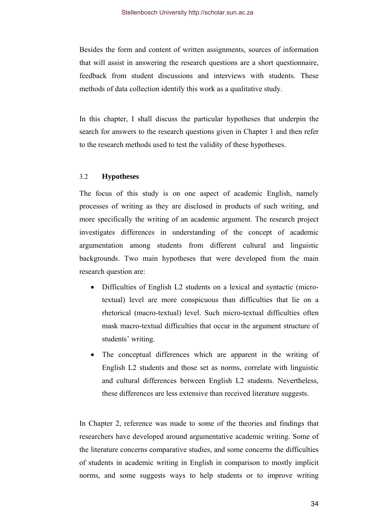Besides the form and content of written assignments, sources of information that will assist in answering the research questions are a short questionnaire, feedback from student discussions and interviews with students. These methods of data collection identify this work as a qualitative study.

In this chapter, I shall discuss the particular hypotheses that underpin the search for answers to the research questions given in Chapter 1 and then refer to the research methods used to test the validity of these hypotheses.

# 3.2 **Hypotheses**

The focus of this study is on one aspect of academic English, namely processes of writing as they are disclosed in products of such writing, and more specifically the writing of an academic argument. The research project investigates differences in understanding of the concept of academic argumentation among students from different cultural and linguistic backgrounds. Two main hypotheses that were developed from the main research question are:

- Difficulties of English L2 students on a lexical and syntactic (microtextual) level are more conspicuous than difficulties that lie on a rhetorical (macro-textual) level. Such micro-textual difficulties often mask macro-textual difficulties that occur in the argument structure of students' writing.
- The conceptual differences which are apparent in the writing of English L2 students and those set as norms, correlate with linguistic and cultural differences between English L2 students. Nevertheless, these differences are less extensive than received literature suggests.

In Chapter 2, reference was made to some of the theories and findings that researchers have developed around argumentative academic writing. Some of the literature concerns comparative studies, and some concerns the difficulties of students in academic writing in English in comparison to mostly implicit norms, and some suggests ways to help students or to improve writing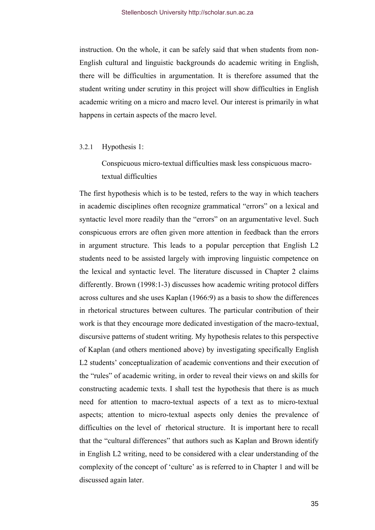instruction. On the whole, it can be safely said that when students from non-English cultural and linguistic backgrounds do academic writing in English, there will be difficulties in argumentation. It is therefore assumed that the student writing under scrutiny in this project will show difficulties in English academic writing on a micro and macro level. Our interest is primarily in what happens in certain aspects of the macro level.

#### 3.2.1 Hypothesis 1:

Conspicuous micro-textual difficulties mask less conspicuous macrotextual difficulties

The first hypothesis which is to be tested, refers to the way in which teachers in academic disciplines often recognize grammatical "errors" on a lexical and syntactic level more readily than the "errors" on an argumentative level. Such conspicuous errors are often given more attention in feedback than the errors in argument structure. This leads to a popular perception that English L2 students need to be assisted largely with improving linguistic competence on the lexical and syntactic level. The literature discussed in Chapter 2 claims differently. Brown (1998:1-3) discusses how academic writing protocol differs across cultures and she uses Kaplan (1966:9) as a basis to show the differences in rhetorical structures between cultures. The particular contribution of their work is that they encourage more dedicated investigation of the macro-textual, discursive patterns of student writing. My hypothesis relates to this perspective of Kaplan (and others mentioned above) by investigating specifically English L2 students' conceptualization of academic conventions and their execution of the "rules" of academic writing, in order to reveal their views on and skills for constructing academic texts. I shall test the hypothesis that there is as much need for attention to macro-textual aspects of a text as to micro-textual aspects; attention to micro-textual aspects only denies the prevalence of difficulties on the level of rhetorical structure. It is important here to recall that the "cultural differences" that authors such as Kaplan and Brown identify in English L2 writing, need to be considered with a clear understanding of the complexity of the concept of 'culture' as is referred to in Chapter 1 and will be discussed again later.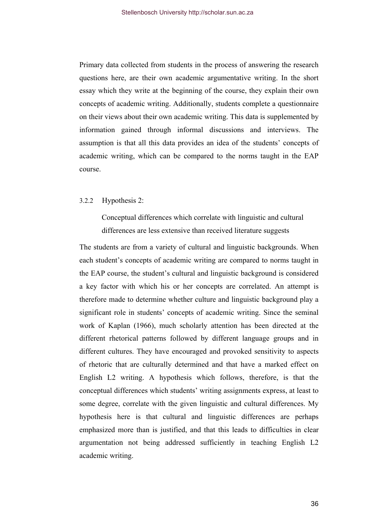Primary data collected from students in the process of answering the research questions here, are their own academic argumentative writing. In the short essay which they write at the beginning of the course, they explain their own concepts of academic writing. Additionally, students complete a questionnaire on their views about their own academic writing. This data is supplemented by information gained through informal discussions and interviews. The assumption is that all this data provides an idea of the students' concepts of academic writing, which can be compared to the norms taught in the EAP course.

### 3.2.2 Hypothesis 2:

Conceptual differences which correlate with linguistic and cultural differences are less extensive than received literature suggests

The students are from a variety of cultural and linguistic backgrounds. When each student's concepts of academic writing are compared to norms taught in the EAP course, the student's cultural and linguistic background is considered a key factor with which his or her concepts are correlated. An attempt is therefore made to determine whether culture and linguistic background play a significant role in students' concepts of academic writing. Since the seminal work of Kaplan (1966), much scholarly attention has been directed at the different rhetorical patterns followed by different language groups and in different cultures. They have encouraged and provoked sensitivity to aspects of rhetoric that are culturally determined and that have a marked effect on English L2 writing. A hypothesis which follows, therefore, is that the conceptual differences which students' writing assignments express, at least to some degree, correlate with the given linguistic and cultural differences. My hypothesis here is that cultural and linguistic differences are perhaps emphasized more than is justified, and that this leads to difficulties in clear argumentation not being addressed sufficiently in teaching English L2 academic writing.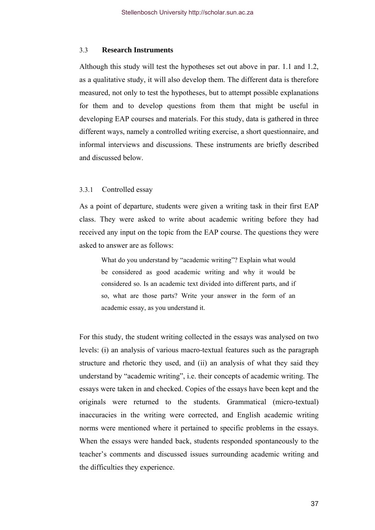#### 3.3 **Research Instruments**

Although this study will test the hypotheses set out above in par. 1.1 and 1.2, as a qualitative study, it will also develop them. The different data is therefore measured, not only to test the hypotheses, but to attempt possible explanations for them and to develop questions from them that might be useful in developing EAP courses and materials. For this study, data is gathered in three different ways, namely a controlled writing exercise, a short questionnaire, and informal interviews and discussions. These instruments are briefly described and discussed below.

### 3.3.1 Controlled essay

As a point of departure, students were given a writing task in their first EAP class. They were asked to write about academic writing before they had received any input on the topic from the EAP course. The questions they were asked to answer are as follows:

What do you understand by "academic writing"? Explain what would be considered as good academic writing and why it would be considered so. Is an academic text divided into different parts, and if so, what are those parts? Write your answer in the form of an academic essay, as you understand it.

For this study, the student writing collected in the essays was analysed on two levels: (i) an analysis of various macro-textual features such as the paragraph structure and rhetoric they used, and (ii) an analysis of what they said they understand by "academic writing", i.e. their concepts of academic writing. The essays were taken in and checked. Copies of the essays have been kept and the originals were returned to the students. Grammatical (micro-textual) inaccuracies in the writing were corrected, and English academic writing norms were mentioned where it pertained to specific problems in the essays. When the essays were handed back, students responded spontaneously to the teacher's comments and discussed issues surrounding academic writing and the difficulties they experience.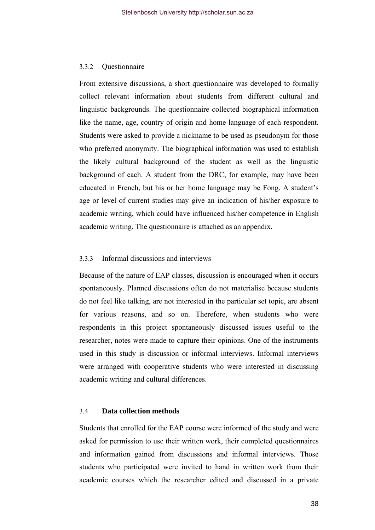#### 3.3.2 Questionnaire

From extensive discussions, a short questionnaire was developed to formally collect relevant information about students from different cultural and linguistic backgrounds. The questionnaire collected biographical information like the name, age, country of origin and home language of each respondent. Students were asked to provide a nickname to be used as pseudonym for those who preferred anonymity. The biographical information was used to establish the likely cultural background of the student as well as the linguistic background of each. A student from the DRC, for example, may have been educated in French, but his or her home language may be Fong. A student's age or level of current studies may give an indication of his/her exposure to academic writing, which could have influenced his/her competence in English academic writing. The questionnaire is attached as an appendix.

# 3.3.3 Informal discussions and interviews

Because of the nature of EAP classes, discussion is encouraged when it occurs spontaneously. Planned discussions often do not materialise because students do not feel like talking, are not interested in the particular set topic, are absent for various reasons, and so on. Therefore, when students who were respondents in this project spontaneously discussed issues useful to the researcher, notes were made to capture their opinions. One of the instruments used in this study is discussion or informal interviews. Informal interviews were arranged with cooperative students who were interested in discussing academic writing and cultural differences.

### 3.4 **Data collection methods**

Students that enrolled for the EAP course were informed of the study and were asked for permission to use their written work, their completed questionnaires and information gained from discussions and informal interviews. Those students who participated were invited to hand in written work from their academic courses which the researcher edited and discussed in a private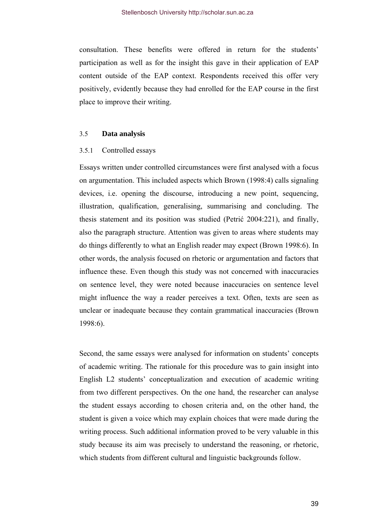consultation. These benefits were offered in return for the students' participation as well as for the insight this gave in their application of EAP content outside of the EAP context. Respondents received this offer very positively, evidently because they had enrolled for the EAP course in the first place to improve their writing.

#### 3.5 **Data analysis**

## 3.5.1 Controlled essays

Essays written under controlled circumstances were first analysed with a focus on argumentation. This included aspects which Brown (1998:4) calls signaling devices, i.e. opening the discourse, introducing a new point, sequencing, illustration, qualification, generalising, summarising and concluding. The thesis statement and its position was studied (Petrić 2004:221), and finally, also the paragraph structure. Attention was given to areas where students may do things differently to what an English reader may expect (Brown 1998:6). In other words, the analysis focused on rhetoric or argumentation and factors that influence these. Even though this study was not concerned with inaccuracies on sentence level, they were noted because inaccuracies on sentence level might influence the way a reader perceives a text. Often, texts are seen as unclear or inadequate because they contain grammatical inaccuracies (Brown 1998:6).

Second, the same essays were analysed for information on students' concepts of academic writing. The rationale for this procedure was to gain insight into English L2 students' conceptualization and execution of academic writing from two different perspectives. On the one hand, the researcher can analyse the student essays according to chosen criteria and, on the other hand, the student is given a voice which may explain choices that were made during the writing process. Such additional information proved to be very valuable in this study because its aim was precisely to understand the reasoning, or rhetoric, which students from different cultural and linguistic backgrounds follow.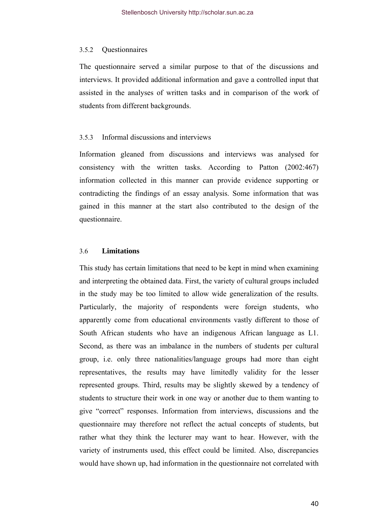### 3.5.2 Questionnaires

The questionnaire served a similar purpose to that of the discussions and interviews. It provided additional information and gave a controlled input that assisted in the analyses of written tasks and in comparison of the work of students from different backgrounds.

## 3.5.3 Informal discussions and interviews

Information gleaned from discussions and interviews was analysed for consistency with the written tasks. According to Patton (2002:467) information collected in this manner can provide evidence supporting or contradicting the findings of an essay analysis. Some information that was gained in this manner at the start also contributed to the design of the questionnaire.

#### 3.6 **Limitations**

This study has certain limitations that need to be kept in mind when examining and interpreting the obtained data. First, the variety of cultural groups included in the study may be too limited to allow wide generalization of the results. Particularly, the majority of respondents were foreign students, who apparently come from educational environments vastly different to those of South African students who have an indigenous African language as L1. Second, as there was an imbalance in the numbers of students per cultural group, i.e. only three nationalities/language groups had more than eight representatives, the results may have limitedly validity for the lesser represented groups. Third, results may be slightly skewed by a tendency of students to structure their work in one way or another due to them wanting to give "correct" responses. Information from interviews, discussions and the questionnaire may therefore not reflect the actual concepts of students, but rather what they think the lecturer may want to hear. However, with the variety of instruments used, this effect could be limited. Also, discrepancies would have shown up, had information in the questionnaire not correlated with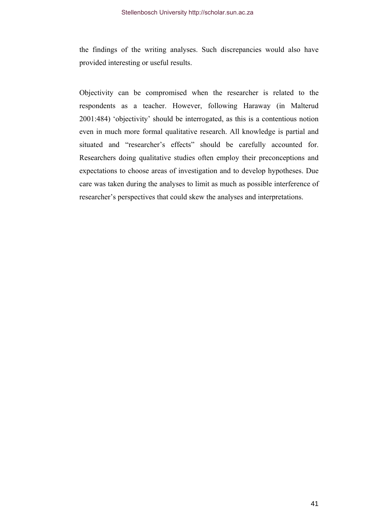the findings of the writing analyses. Such discrepancies would also have provided interesting or useful results.

Objectivity can be compromised when the researcher is related to the respondents as a teacher. However, following Haraway (in Malterud 2001:484) 'objectivity' should be interrogated, as this is a contentious notion even in much more formal qualitative research. All knowledge is partial and situated and "researcher's effects" should be carefully accounted for. Researchers doing qualitative studies often employ their preconceptions and expectations to choose areas of investigation and to develop hypotheses. Due care was taken during the analyses to limit as much as possible interference of researcher's perspectives that could skew the analyses and interpretations.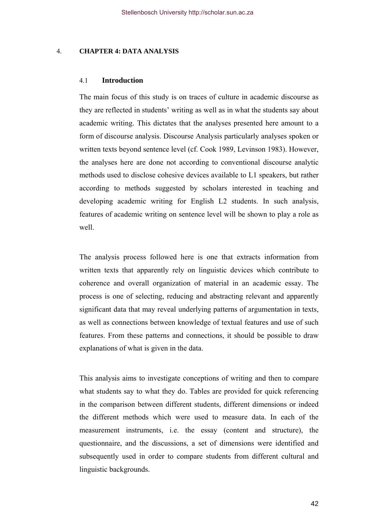### 4. **CHAPTER 4: DATA ANALYSIS**

## 4.1 **Introduction**

The main focus of this study is on traces of culture in academic discourse as they are reflected in students' writing as well as in what the students say about academic writing. This dictates that the analyses presented here amount to a form of discourse analysis. Discourse Analysis particularly analyses spoken or written texts beyond sentence level (cf. Cook 1989, Levinson 1983). However, the analyses here are done not according to conventional discourse analytic methods used to disclose cohesive devices available to L1 speakers, but rather according to methods suggested by scholars interested in teaching and developing academic writing for English L2 students. In such analysis, features of academic writing on sentence level will be shown to play a role as well.

The analysis process followed here is one that extracts information from written texts that apparently rely on linguistic devices which contribute to coherence and overall organization of material in an academic essay. The process is one of selecting, reducing and abstracting relevant and apparently significant data that may reveal underlying patterns of argumentation in texts, as well as connections between knowledge of textual features and use of such features. From these patterns and connections, it should be possible to draw explanations of what is given in the data.

This analysis aims to investigate conceptions of writing and then to compare what students say to what they do. Tables are provided for quick referencing in the comparison between different students, different dimensions or indeed the different methods which were used to measure data. In each of the measurement instruments, i.e. the essay (content and structure), the questionnaire, and the discussions, a set of dimensions were identified and subsequently used in order to compare students from different cultural and linguistic backgrounds.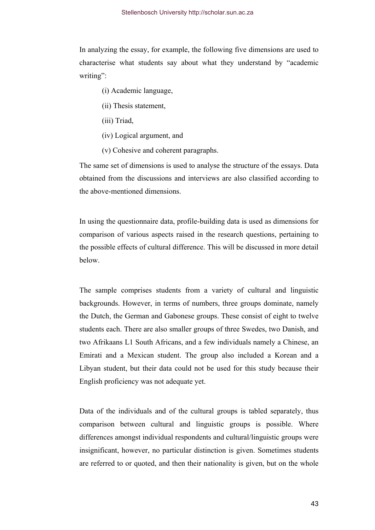In analyzing the essay, for example, the following five dimensions are used to characterise what students say about what they understand by "academic writing":

- (i) Academic language,
- (ii) Thesis statement,
- (iii) Triad,
- (iv) Logical argument, and
- (v) Cohesive and coherent paragraphs.

The same set of dimensions is used to analyse the structure of the essays. Data obtained from the discussions and interviews are also classified according to the above-mentioned dimensions.

In using the questionnaire data, profile-building data is used as dimensions for comparison of various aspects raised in the research questions, pertaining to the possible effects of cultural difference. This will be discussed in more detail below.

The sample comprises students from a variety of cultural and linguistic backgrounds. However, in terms of numbers, three groups dominate, namely the Dutch, the German and Gabonese groups. These consist of eight to twelve students each. There are also smaller groups of three Swedes, two Danish, and two Afrikaans L1 South Africans, and a few individuals namely a Chinese, an Emirati and a Mexican student. The group also included a Korean and a Libyan student, but their data could not be used for this study because their English proficiency was not adequate yet.

Data of the individuals and of the cultural groups is tabled separately, thus comparison between cultural and linguistic groups is possible. Where differences amongst individual respondents and cultural/linguistic groups were insignificant, however, no particular distinction is given. Sometimes students are referred to or quoted, and then their nationality is given, but on the whole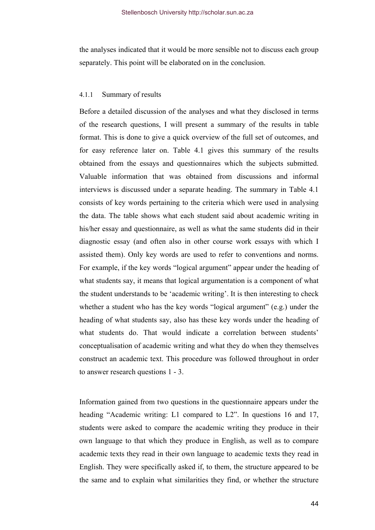the analyses indicated that it would be more sensible not to discuss each group separately. This point will be elaborated on in the conclusion.

### 4.1.1 Summary of results

Before a detailed discussion of the analyses and what they disclosed in terms of the research questions, I will present a summary of the results in table format. This is done to give a quick overview of the full set of outcomes, and for easy reference later on. Table 4.1 gives this summary of the results obtained from the essays and questionnaires which the subjects submitted. Valuable information that was obtained from discussions and informal interviews is discussed under a separate heading. The summary in Table 4.1 consists of key words pertaining to the criteria which were used in analysing the data. The table shows what each student said about academic writing in his/her essay and questionnaire, as well as what the same students did in their diagnostic essay (and often also in other course work essays with which I assisted them). Only key words are used to refer to conventions and norms. For example, if the key words "logical argument" appear under the heading of what students say, it means that logical argumentation is a component of what the student understands to be 'academic writing'. It is then interesting to check whether a student who has the key words "logical argument" (e.g.) under the heading of what students say, also has these key words under the heading of what students do. That would indicate a correlation between students' conceptualisation of academic writing and what they do when they themselves construct an academic text. This procedure was followed throughout in order to answer research questions 1 - 3.

Information gained from two questions in the questionnaire appears under the heading "Academic writing: L1 compared to L2". In questions 16 and 17, students were asked to compare the academic writing they produce in their own language to that which they produce in English, as well as to compare academic texts they read in their own language to academic texts they read in English. They were specifically asked if, to them, the structure appeared to be the same and to explain what similarities they find, or whether the structure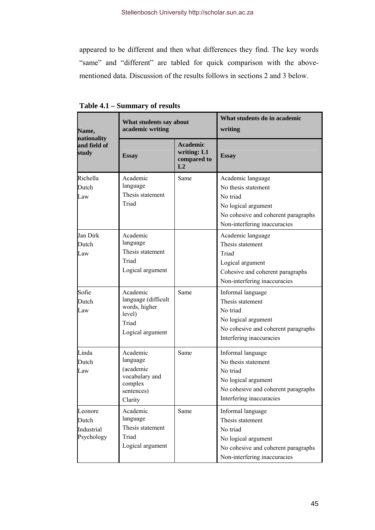appeared to be different and then what differences they find. The key words "same" and "different" are tabled for quick comparison with the abovementioned data. Discussion of the results follows in sections 2 and 3 below.

| Name,<br>nationality<br>and field of<br>study | What students say about<br>academic writing                                             |                                                     | What students do in academic<br>writing                                                                                                            |
|-----------------------------------------------|-----------------------------------------------------------------------------------------|-----------------------------------------------------|----------------------------------------------------------------------------------------------------------------------------------------------------|
|                                               | <b>Essay</b>                                                                            | <b>Academic</b><br>writing: L1<br>compared to<br>L2 | <b>Essay</b>                                                                                                                                       |
| Richella<br>Dutch<br>Law                      | Academic<br>language<br>Thesis statement<br>Triad                                       | Same                                                | Academic language<br>No thesis statement<br>No triad<br>No logical argument<br>No cohesive and coherent paragraphs<br>Non-interfering inaccuracies |
| Jan Dirk<br>Dutch<br>Law                      | Academic<br>language<br>Thesis statement<br>Triad<br>Logical argument                   |                                                     | Academic language<br>Thesis statement<br>Triad<br>Logical argument<br>Cohesive and coherent paragraphs<br>Non-interfering inaccuracies             |
| Sofie<br>Dutch<br>Law                         | Academic<br>language (difficult<br>words, higher<br>level)<br>Triad<br>Logical argument | Same                                                | Informal language<br>Thesis statement<br>No triad<br>No logical argument<br>No cohesive and coherent paragraphs<br>Interfering inaccuracies        |
| Linda<br>Dutch<br>Law                         | Academic<br>language<br>(academic<br>vocabulary and<br>complex<br>sentences)<br>Clarity | Same                                                | Informal language<br>No thesis statement<br>No triad<br>No logical argument<br>No cohesive and coherent paragraphs<br>Interfering inaccuracies     |
| Leonore<br>Dutch<br>Industrial<br>Psychology  | Academic<br>language<br>Thesis statement<br>Triad<br>Logical argument                   | Same                                                | Informal language<br>Thesis statement<br>No triad<br>No logical argument<br>No cohesive and coherent paragraphs<br>Non-interfering inaccuracies    |

**Table 4.1 – Summary of results**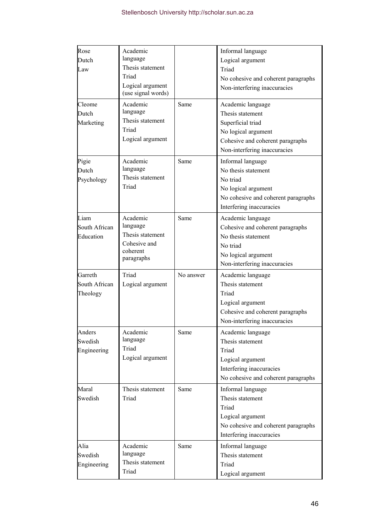| Rose<br>Dutch<br>Law                 | Academic<br>language<br>Thesis statement<br>Triad<br>Logical argument<br>(use signal words) |           | Informal language<br>Logical argument<br>Triad<br>No cohesive and coherent paragraphs<br>Non-interfering inaccuracies                                 |
|--------------------------------------|---------------------------------------------------------------------------------------------|-----------|-------------------------------------------------------------------------------------------------------------------------------------------------------|
| Cleome<br>Dutch<br>Marketing         | Academic<br>language<br>Thesis statement<br>Triad<br>Logical argument                       | Same      | Academic language<br>Thesis statement<br>Superficial triad<br>No logical argument<br>Cohesive and coherent paragraphs<br>Non-interfering inaccuracies |
| Pigie<br>Dutch<br>Psychology         | Academic<br>language<br>Thesis statement<br>Triad                                           | Same      | Informal language<br>No thesis statement<br>No triad<br>No logical argument<br>No cohesive and coherent paragraphs<br>Interfering inaccuracies        |
| Liam<br>South African<br>Education   | Academic<br>language<br>Thesis statement<br>Cohesive and<br>coherent<br>paragraphs          | Same      | Academic language<br>Cohesive and coherent paragraphs<br>No thesis statement<br>No triad<br>No logical argument<br>Non-interfering inaccuracies       |
| Garreth<br>South African<br>Theology | Triad<br>Logical argument                                                                   | No answer | Academic language<br>Thesis statement<br>Triad<br>Logical argument<br>Cohesive and coherent paragraphs<br>Non-interfering inaccuracies                |
| Anders<br>Swedish<br>Engineering     | Academic<br>language<br>Triad<br>Logical argument                                           | Same      | Academic language<br>Thesis statement<br>Triad<br>Logical argument<br>Interfering inaccuracies<br>No cohesive and coherent paragraphs                 |
| Maral<br>Swedish                     | Thesis statement<br>Triad                                                                   | Same      | Informal language<br>Thesis statement<br>Triad<br>Logical argument<br>No cohesive and coherent paragraphs<br>Interfering inaccuracies                 |
| Alia<br>Swedish<br>Engineering       | Academic<br>language<br>Thesis statement<br>Triad                                           | Same      | Informal language<br>Thesis statement<br>Triad<br>Logical argument                                                                                    |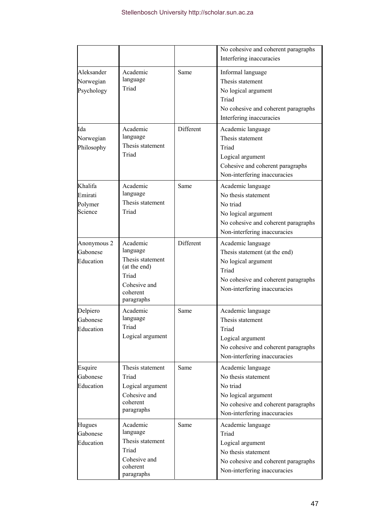|                                          |                                                                                                             |           | No cohesive and coherent paragraphs<br>Interfering inaccuracies                                                                                           |
|------------------------------------------|-------------------------------------------------------------------------------------------------------------|-----------|-----------------------------------------------------------------------------------------------------------------------------------------------------------|
| Aleksander<br>Norwegian<br>Psychology    | Academic<br>language<br>Triad                                                                               | Same      | Informal language<br>Thesis statement<br>No logical argument<br>Triad<br>No cohesive and coherent paragraphs<br>Interfering inaccuracies                  |
| Ida<br>Norwegian<br>Philosophy           | Academic<br>language<br>Thesis statement<br>Triad                                                           | Different | Academic language<br>Thesis statement<br>Triad<br>Logical argument<br>Cohesive and coherent paragraphs<br>Non-interfering inaccuracies                    |
| Khalifa<br>Emirati<br>Polymer<br>Science | Academic<br>language<br>Thesis statement<br>Triad                                                           | Same      | Academic language<br>No thesis statement<br>No triad<br>No logical argument<br>No cohesive and coherent paragraphs<br>Non-interfering inaccuracies        |
| Anonymous 2<br>Gabonese<br>Education     | Academic<br>language<br>Thesis statement<br>(at the end)<br>Triad<br>Cohesive and<br>coherent<br>paragraphs | Different | Academic language<br>Thesis statement (at the end)<br>No logical argument<br>Triad<br>No cohesive and coherent paragraphs<br>Non-interfering inaccuracies |
| Delpiero<br>Gabonese<br>Education        | Academic<br>language<br>Triad<br>Logical argument                                                           | Same      | Academic language<br>Thesis statement<br>Triad<br>Logical argument<br>No cohesive and coherent paragraphs<br>Non-interfering inaccuracies                 |
| Esquire<br>Gabonese<br>Education         | Thesis statement<br>Triad<br>Logical argument<br>Cohesive and<br>coherent<br>paragraphs                     | Same      | Academic language<br>No thesis statement<br>No triad<br>No logical argument<br>No cohesive and coherent paragraphs<br>Non-interfering inaccuracies        |
| Hugues<br>Gabonese<br>Education          | Academic<br>language<br>Thesis statement<br>Triad<br>Cohesive and<br>coherent<br>paragraphs                 | Same      | Academic language<br>Triad<br>Logical argument<br>No thesis statement<br>No cohesive and coherent paragraphs<br>Non-interfering inaccuracies              |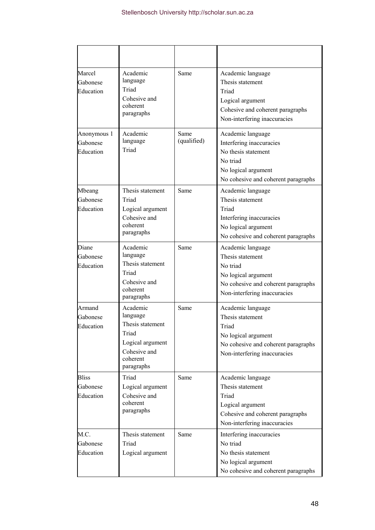| Marcel<br>Gabonese<br>Education       | Academic<br>language<br>Triad<br>Cohesive and<br>coherent<br>paragraphs                                         | Same                | Academic language<br>Thesis statement<br>Triad<br>Logical argument<br>Cohesive and coherent paragraphs<br>Non-interfering inaccuracies          |
|---------------------------------------|-----------------------------------------------------------------------------------------------------------------|---------------------|-------------------------------------------------------------------------------------------------------------------------------------------------|
| Anonymous 1<br>Gabonese<br>Education  | Academic<br>language<br>Triad                                                                                   | Same<br>(qualified) | Academic language<br>Interfering inaccuracies<br>No thesis statement<br>No triad<br>No logical argument<br>No cohesive and coherent paragraphs  |
| Mbeang<br>Gabonese<br>Education       | Thesis statement<br>Triad<br>Logical argument<br>Cohesive and<br>coherent<br>paragraphs                         | Same                | Academic language<br>Thesis statement<br>Triad<br>Interfering inaccuracies<br>No logical argument<br>No cohesive and coherent paragraphs        |
| Diane<br>Gabonese<br>Education        | Academic<br>language<br>Thesis statement<br>Triad<br>Cohesive and<br>coherent<br>paragraphs                     | Same                | Academic language<br>Thesis statement<br>No triad<br>No logical argument<br>No cohesive and coherent paragraphs<br>Non-interfering inaccuracies |
| Armand<br>Gabonese<br>Education       | Academic<br>language<br>Thesis statement<br>Triad<br>Logical argument<br>Cohesive and<br>coherent<br>paragraphs | Same                | Academic language<br>Thesis statement<br>Triad<br>No logical argument<br>No cohesive and coherent paragraphs<br>Non-interfering inaccuracies    |
| <b>Bliss</b><br>Gabonese<br>Education | Triad<br>Logical argument<br>Cohesive and<br>coherent<br>paragraphs                                             | Same                | Academic language<br>Thesis statement<br>Triad<br>Logical argument<br>Cohesive and coherent paragraphs<br>Non-interfering inaccuracies          |
| M.C.<br>Gabonese<br>Education         | Thesis statement<br>Triad<br>Logical argument                                                                   | Same                | Interfering inaccuracies<br>No triad<br>No thesis statement<br>No logical argument<br>No cohesive and coherent paragraphs                       |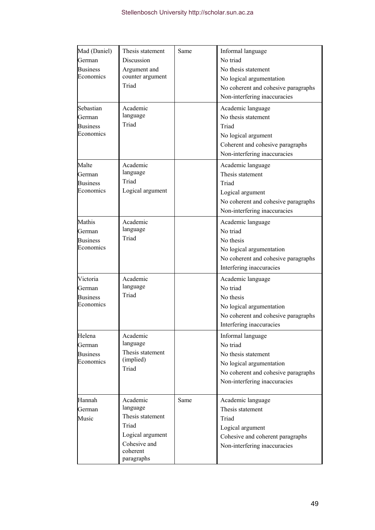| Mad (Daniel)<br>German<br><b>Business</b><br>Economics<br>Sebastian<br>German<br><b>Business</b><br>Economics | Thesis statement<br>Discussion<br>Argument and<br>counter argument<br>Triad<br>Academic<br>language<br>Triad    | Same | Informal language<br>No triad<br>No thesis statement<br>No logical argumentation<br>No coherent and cohesive paragraphs<br>Non-interfering inaccuracies<br>Academic language<br>No thesis statement<br>Triad<br>No logical argument<br>Coherent and cohesive paragraphs<br>Non-interfering inaccuracies |
|---------------------------------------------------------------------------------------------------------------|-----------------------------------------------------------------------------------------------------------------|------|---------------------------------------------------------------------------------------------------------------------------------------------------------------------------------------------------------------------------------------------------------------------------------------------------------|
| Malte<br>German<br><b>Business</b><br>Economics                                                               | Academic<br>language<br>Triad<br>Logical argument                                                               |      | Academic language<br>Thesis statement<br>Triad<br>Logical argument<br>No coherent and cohesive paragraphs<br>Non-interfering inaccuracies                                                                                                                                                               |
| Mathis<br>German<br><b>Business</b><br>Economics                                                              | Academic<br>language<br>Triad                                                                                   |      | Academic language<br>No triad<br>No thesis<br>No logical argumentation<br>No coherent and cohesive paragraphs<br>Interfering inaccuracies                                                                                                                                                               |
| Victoria<br>German<br><b>Business</b><br>Economics                                                            | Academic<br>language<br>Triad                                                                                   |      | Academic language<br>No triad<br>No thesis<br>No logical argumentation<br>No coherent and cohesive paragraphs<br>Interfering inaccuracies                                                                                                                                                               |
| Helena<br>German<br><b>Business</b><br>Economics                                                              | Academic<br>language<br>Thesis statement<br>(implied)<br>Triad                                                  |      | Informal language<br>No triad<br>No thesis statement<br>No logical argumentation<br>No coherent and cohesive paragraphs<br>Non-interfering inaccuracies                                                                                                                                                 |
| Hannah<br>German<br>Music                                                                                     | Academic<br>language<br>Thesis statement<br>Triad<br>Logical argument<br>Cohesive and<br>coherent<br>paragraphs | Same | Academic language<br>Thesis statement<br>Triad<br>Logical argument<br>Cohesive and coherent paragraphs<br>Non-interfering inaccuracies                                                                                                                                                                  |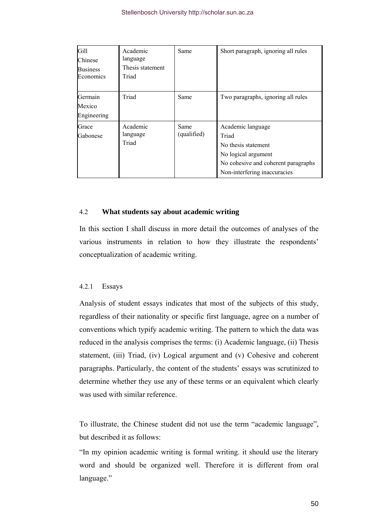| Gill<br>Chinese<br><b>Business</b><br>Economics | Academic<br>language<br>Thesis statement<br>Triad | Same                | Short paragraph, ignoring all rules                                                                                                             |
|-------------------------------------------------|---------------------------------------------------|---------------------|-------------------------------------------------------------------------------------------------------------------------------------------------|
| Germain<br>Mexico<br>Engineering                | Triad                                             | Same                | Two paragraphs, ignoring all rules                                                                                                              |
| Grace<br>Gabonese                               | Academic<br>language<br>Triad                     | Same<br>(qualified) | Academic language<br>Triad<br>No thesis statement<br>No logical argument<br>No cohesive and coherent paragraphs<br>Non-interfering inaccuracies |

# 4.2 **What students say about academic writing**

In this section I shall discuss in more detail the outcomes of analyses of the various instruments in relation to how they illustrate the respondents' conceptualization of academic writing.

#### 4.2.1 Essays

Analysis of student essays indicates that most of the subjects of this study, regardless of their nationality or specific first language, agree on a number of conventions which typify academic writing. The pattern to which the data was reduced in the analysis comprises the terms: (i) Academic language, (ii) Thesis statement, (iii) Triad, (iv) Logical argument and (v) Cohesive and coherent paragraphs. Particularly, the content of the students' essays was scrutinized to determine whether they use any of these terms or an equivalent which clearly was used with similar reference.

To illustrate, the Chinese student did not use the term "academic language", but described it as follows:

"In my opinion academic writing is formal writing. it should use the literary word and should be organized well. Therefore it is different from oral language."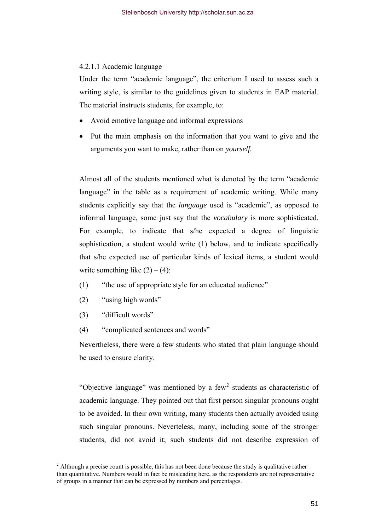## 4.2.1.1 Academic language

Under the term "academic language", the criterium I used to assess such a writing style, is similar to the guidelines given to students in EAP material. The material instructs students, for example, to:

- Avoid emotive language and informal expressions
- Put the main emphasis on the information that you want to give and the arguments you want to make, rather than on *yourself.*

Almost all of the students mentioned what is denoted by the term "academic language" in the table as a requirement of academic writing. While many students explicitly say that the *language* used is "academic", as opposed to informal language, some just say that the *vocabulary* is more sophisticated. For example, to indicate that s/he expected a degree of linguistic sophistication, a student would write (1) below, and to indicate specifically that s/he expected use of particular kinds of lexical items, a student would write something like  $(2) - (4)$ :

- (1) "the use of appropriate style for an educated audience"
- (2) "using high words"
- (3) "difficult words"

(4) "complicated sentences and words"

Nevertheless, there were a few students who stated that plain language should be used to ensure clarity.

"Objective language" was mentioned by a few<sup>[2](#page-55-0)</sup> students as characteristic of academic language. They pointed out that first person singular pronouns ought to be avoided. In their own writing, many students then actually avoided using such singular pronouns. Neverteless, many, including some of the stronger students, did not avoid it; such students did not describe expression of

<span id="page-55-0"></span> $2<sup>2</sup>$  Although a precise count is possible, this has not been done because the study is qualitative rather than quantitative. Numbers would in fact be misleading here, as the respondents are not representative of groups in a manner that can be expressed by numbers and percentages.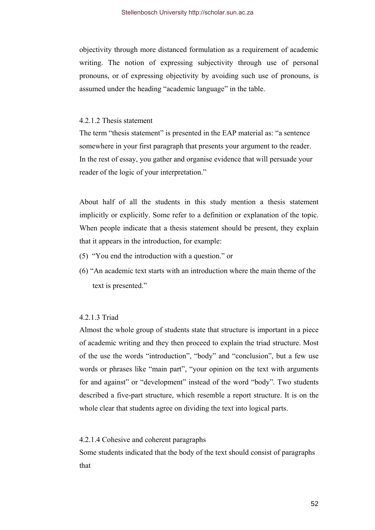objectivity through more distanced formulation as a requirement of academic writing. The notion of expressing subjectivity through use of personal pronouns, or of expressing objectivity by avoiding such use of pronouns, is assumed under the heading "academic language" in the table.

## 4.2.1.2 Thesis statement

The term "thesis statement" is presented in the EAP material as: "a sentence somewhere in your first paragraph that presents your argument to the reader. In the rest of essay, you gather and organise evidence that will persuade your reader of the logic of your interpretation."

About half of all the students in this study mention a thesis statement implicitly or explicitly. Some refer to a definition or explanation of the topic. When people indicate that a thesis statement should be present, they explain that it appears in the introduction, for example:

- (5) "You end the introduction with a question." or
- (6) "An academic text starts with an introduction where the main theme of the text is presented."

## 4.2.1.3 Triad

Almost the whole group of students state that structure is important in a piece of academic writing and they then proceed to explain the triad structure. Most of the use the words "introduction", "body" and "conclusion", but a few use words or phrases like "main part", "your opinion on the text with arguments for and against" or "development" instead of the word "body". Two students described a five-part structure, which resemble a report structure. It is on the whole clear that students agree on dividing the text into logical parts.

## 4.2.1.4 Cohesive and coherent paragraphs

Some students indicated that the body of the text should consist of paragraphs that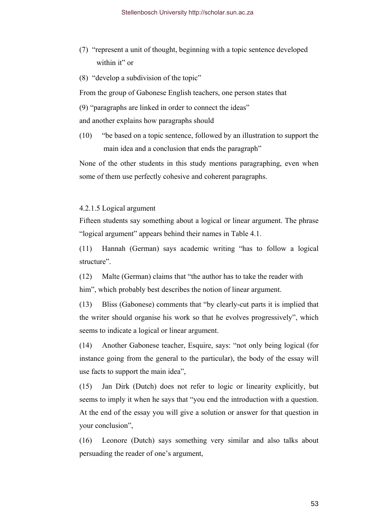- (7) "represent a unit of thought, beginning with a topic sentence developed within it" or
- (8) "develop a subdivision of the topic"

From the group of Gabonese English teachers, one person states that

(9) "paragraphs are linked in order to connect the ideas"

and another explains how paragraphs should

(10) "be based on a topic sentence, followed by an illustration to support the main idea and a conclusion that ends the paragraph"

None of the other students in this study mentions paragraphing, even when some of them use perfectly cohesive and coherent paragraphs.

### 4.2.1.5 Logical argument

Fifteen students say something about a logical or linear argument. The phrase "logical argument" appears behind their names in Table 4.1.

(11) Hannah (German) says academic writing "has to follow a logical structure".

(12) Malte (German) claims that "the author has to take the reader with him", which probably best describes the notion of linear argument.

(13) Bliss (Gabonese) comments that "by clearly-cut parts it is implied that the writer should organise his work so that he evolves progressively", which seems to indicate a logical or linear argument.

(14) Another Gabonese teacher, Esquire, says: "not only being logical (for instance going from the general to the particular), the body of the essay will use facts to support the main idea",

(15) Jan Dirk (Dutch) does not refer to logic or linearity explicitly, but seems to imply it when he says that "you end the introduction with a question. At the end of the essay you will give a solution or answer for that question in your conclusion",

(16) Leonore (Dutch) says something very similar and also talks about persuading the reader of one's argument,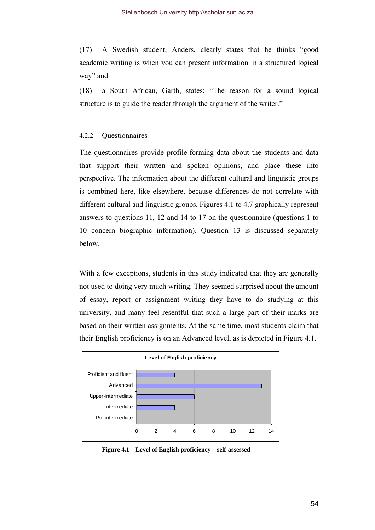(17) A Swedish student, Anders, clearly states that he thinks "good academic writing is when you can present information in a structured logical way" and

(18) a South African, Garth, states: "The reason for a sound logical structure is to guide the reader through the argument of the writer."

# 4.2.2 Questionnaires

The questionnaires provide profile-forming data about the students and data that support their written and spoken opinions, and place these into perspective. The information about the different cultural and linguistic groups is combined here, like elsewhere, because differences do not correlate with different cultural and linguistic groups. Figures 4.1 to 4.7 graphically represent answers to questions 11, 12 and 14 to 17 on the questionnaire (questions 1 to 10 concern biographic information). Question 13 is discussed separately below.

With a few exceptions, students in this study indicated that they are generally not used to doing very much writing. They seemed surprised about the amount of essay, report or assignment writing they have to do studying at this university, and many feel resentful that such a large part of their marks are based on their written assignments. At the same time, most students claim that their English proficiency is on an Advanced level, as is depicted in Figure 4.1.



**Figure 4.1 – Level of English proficiency – self-assessed**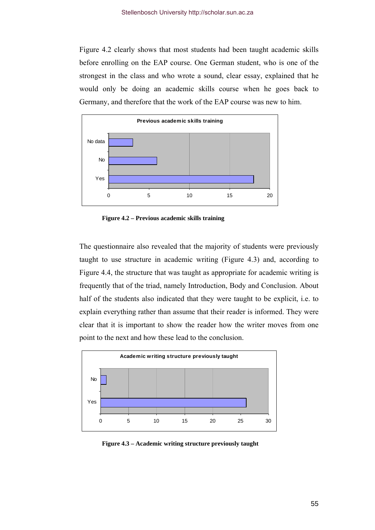Figure 4.2 clearly shows that most students had been taught academic skills before enrolling on the EAP course. One German student, who is one of the strongest in the class and who wrote a sound, clear essay, explained that he would only be doing an academic skills course when he goes back to Germany, and therefore that the work of the EAP course was new to him.



**Figure 4.2 – Previous academic skills training** 

The questionnaire also revealed that the majority of students were previously taught to use structure in academic writing (Figure 4.3) and, according to Figure 4.4, the structure that was taught as appropriate for academic writing is frequently that of the triad, namely Introduction, Body and Conclusion. About half of the students also indicated that they were taught to be explicit, i.e. to explain everything rather than assume that their reader is informed. They were clear that it is important to show the reader how the writer moves from one point to the next and how these lead to the conclusion.



**Figure 4.3 – Academic writing structure previously taught**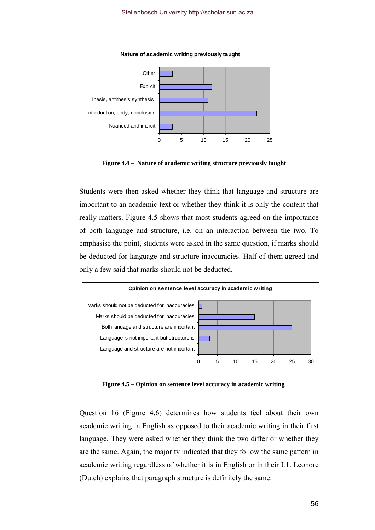

**Figure 4.4 – Nature of academic writing structure previously taught** 

Students were then asked whether they think that language and structure are important to an academic text or whether they think it is only the content that really matters. Figure 4.5 shows that most students agreed on the importance of both language and structure, i.e. on an interaction between the two. To emphasise the point, students were asked in the same question, if marks should be deducted for language and structure inaccuracies. Half of them agreed and only a few said that marks should not be deducted.



**Figure 4.5 – Opinion on sentence level accuracy in academic writing** 

Question 16 (Figure 4.6) determines how students feel about their own academic writing in English as opposed to their academic writing in their first language. They were asked whether they think the two differ or whether they are the same. Again, the majority indicated that they follow the same pattern in academic writing regardless of whether it is in English or in their L1. Leonore (Dutch) explains that paragraph structure is definitely the same.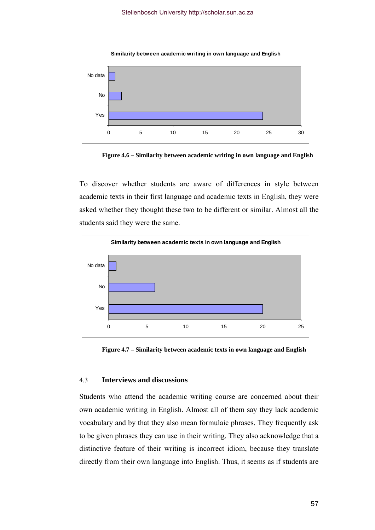

**Figure 4.6 – Similarity between academic writing in own language and English** 

To discover whether students are aware of differences in style between academic texts in their first language and academic texts in English, they were asked whether they thought these two to be different or similar. Almost all the students said they were the same.



**Figure 4.7 – Similarity between academic texts in own language and English** 

#### 4.3 **Interviews and discussions**

Students who attend the academic writing course are concerned about their own academic writing in English. Almost all of them say they lack academic vocabulary and by that they also mean formulaic phrases. They frequently ask to be given phrases they can use in their writing. They also acknowledge that a distinctive feature of their writing is incorrect idiom, because they translate directly from their own language into English. Thus, it seems as if students are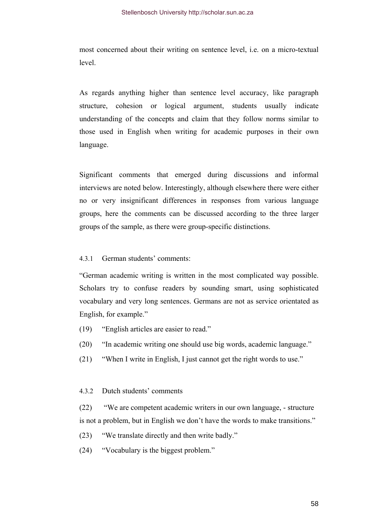most concerned about their writing on sentence level, i.e. on a micro-textual level.

As regards anything higher than sentence level accuracy, like paragraph structure, cohesion or logical argument, students usually indicate understanding of the concepts and claim that they follow norms similar to those used in English when writing for academic purposes in their own language.

Significant comments that emerged during discussions and informal interviews are noted below. Interestingly, although elsewhere there were either no or very insignificant differences in responses from various language groups, here the comments can be discussed according to the three larger groups of the sample, as there were group-specific distinctions.

# 4.3.1 German students' comments:

"German academic writing is written in the most complicated way possible. Scholars try to confuse readers by sounding smart, using sophisticated vocabulary and very long sentences. Germans are not as service orientated as English, for example."

- (19) "English articles are easier to read."
- (20) "In academic writing one should use big words, academic language."
- (21) "When I write in English, I just cannot get the right words to use."

### 4.3.2 Dutch students' comments

(22) "We are competent academic writers in our own language, - structure is not a problem, but in English we don't have the words to make transitions."

- (23) "We translate directly and then write badly."
- (24) "Vocabulary is the biggest problem."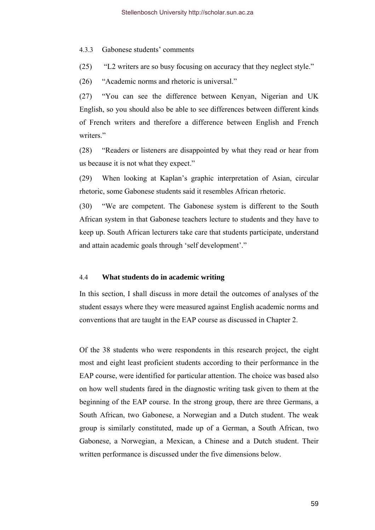4.3.3 Gabonese students' comments

(25) "L2 writers are so busy focusing on accuracy that they neglect style."

(26) "Academic norms and rhetoric is universal."

(27) "You can see the difference between Kenyan, Nigerian and UK English, so you should also be able to see differences between different kinds of French writers and therefore a difference between English and French writers<sup>"</sup>

(28) "Readers or listeners are disappointed by what they read or hear from us because it is not what they expect."

(29) When looking at Kaplan's graphic interpretation of Asian, circular rhetoric, some Gabonese students said it resembles African rhetoric.

(30) "We are competent. The Gabonese system is different to the South African system in that Gabonese teachers lecture to students and they have to keep up. South African lecturers take care that students participate, understand and attain academic goals through 'self development'."

#### 4.4 **What students do in academic writing**

In this section, I shall discuss in more detail the outcomes of analyses of the student essays where they were measured against English academic norms and conventions that are taught in the EAP course as discussed in Chapter 2.

Of the 38 students who were respondents in this research project, the eight most and eight least proficient students according to their performance in the EAP course, were identified for particular attention. The choice was based also on how well students fared in the diagnostic writing task given to them at the beginning of the EAP course. In the strong group, there are three Germans, a South African, two Gabonese, a Norwegian and a Dutch student. The weak group is similarly constituted, made up of a German, a South African, two Gabonese, a Norwegian, a Mexican, a Chinese and a Dutch student. Their written performance is discussed under the five dimensions below.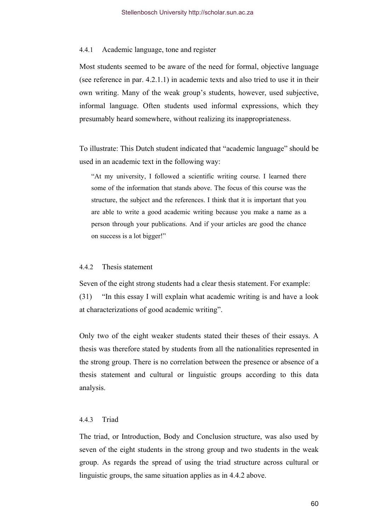#### 4.4.1 Academic language, tone and register

Most students seemed to be aware of the need for formal, objective language (see reference in par. 4.2.1.1) in academic texts and also tried to use it in their own writing. Many of the weak group's students, however, used subjective, informal language. Often students used informal expressions, which they presumably heard somewhere, without realizing its inappropriateness.

To illustrate: This Dutch student indicated that "academic language" should be used in an academic text in the following way:

"At my university, I followed a scientific writing course. I learned there some of the information that stands above. The focus of this course was the structure, the subject and the references. I think that it is important that you are able to write a good academic writing because you make a name as a person through your publications. And if your articles are good the chance on success is a lot bigger!"

### 4.4.2 Thesis statement

Seven of the eight strong students had a clear thesis statement. For example: (31) "In this essay I will explain what academic writing is and have a look at characterizations of good academic writing".

Only two of the eight weaker students stated their theses of their essays. A thesis was therefore stated by students from all the nationalities represented in the strong group. There is no correlation between the presence or absence of a thesis statement and cultural or linguistic groups according to this data analysis.

### 4.4.3 Triad

The triad, or Introduction, Body and Conclusion structure, was also used by seven of the eight students in the strong group and two students in the weak group. As regards the spread of using the triad structure across cultural or linguistic groups, the same situation applies as in 4.4.2 above.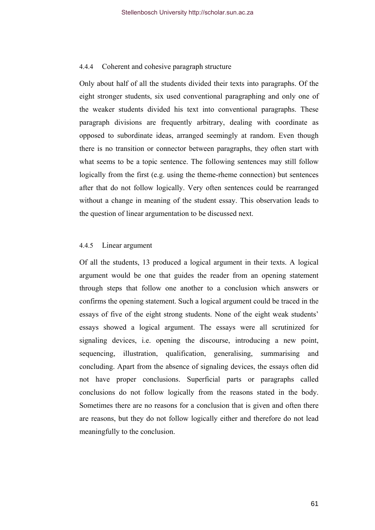### 4.4.4 Coherent and cohesive paragraph structure

Only about half of all the students divided their texts into paragraphs. Of the eight stronger students, six used conventional paragraphing and only one of the weaker students divided his text into conventional paragraphs. These paragraph divisions are frequently arbitrary, dealing with coordinate as opposed to subordinate ideas, arranged seemingly at random. Even though there is no transition or connector between paragraphs, they often start with what seems to be a topic sentence. The following sentences may still follow logically from the first (e.g. using the theme-rheme connection) but sentences after that do not follow logically. Very often sentences could be rearranged without a change in meaning of the student essay. This observation leads to the question of linear argumentation to be discussed next.

#### 4.4.5 Linear argument

Of all the students, 13 produced a logical argument in their texts. A logical argument would be one that guides the reader from an opening statement through steps that follow one another to a conclusion which answers or confirms the opening statement. Such a logical argument could be traced in the essays of five of the eight strong students. None of the eight weak students' essays showed a logical argument. The essays were all scrutinized for signaling devices, i.e. opening the discourse, introducing a new point, sequencing, illustration, qualification, generalising, summarising and concluding. Apart from the absence of signaling devices, the essays often did not have proper conclusions. Superficial parts or paragraphs called conclusions do not follow logically from the reasons stated in the body. Sometimes there are no reasons for a conclusion that is given and often there are reasons, but they do not follow logically either and therefore do not lead meaningfully to the conclusion.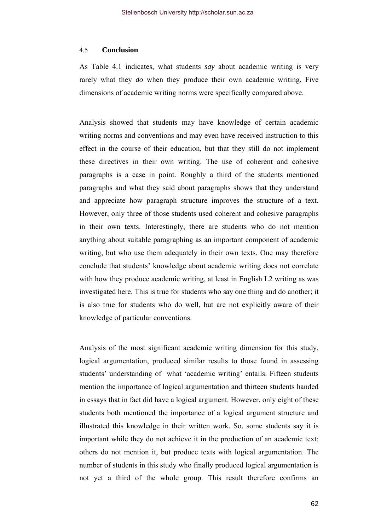#### 4.5 **Conclusion**

As Table 4.1 indicates, what students *say* about academic writing is very rarely what they *do* when they produce their own academic writing. Five dimensions of academic writing norms were specifically compared above.

Analysis showed that students may have knowledge of certain academic writing norms and conventions and may even have received instruction to this effect in the course of their education, but that they still do not implement these directives in their own writing. The use of coherent and cohesive paragraphs is a case in point. Roughly a third of the students mentioned paragraphs and what they said about paragraphs shows that they understand and appreciate how paragraph structure improves the structure of a text. However, only three of those students used coherent and cohesive paragraphs in their own texts. Interestingly, there are students who do not mention anything about suitable paragraphing as an important component of academic writing, but who use them adequately in their own texts. One may therefore conclude that students' knowledge about academic writing does not correlate with how they produce academic writing, at least in English L2 writing as was investigated here. This is true for students who say one thing and do another; it is also true for students who do well, but are not explicitly aware of their knowledge of particular conventions.

Analysis of the most significant academic writing dimension for this study, logical argumentation, produced similar results to those found in assessing students' understanding of what 'academic writing' entails. Fifteen students mention the importance of logical argumentation and thirteen students handed in essays that in fact did have a logical argument. However, only eight of these students both mentioned the importance of a logical argument structure and illustrated this knowledge in their written work. So, some students say it is important while they do not achieve it in the production of an academic text; others do not mention it, but produce texts with logical argumentation. The number of students in this study who finally produced logical argumentation is not yet a third of the whole group. This result therefore confirms an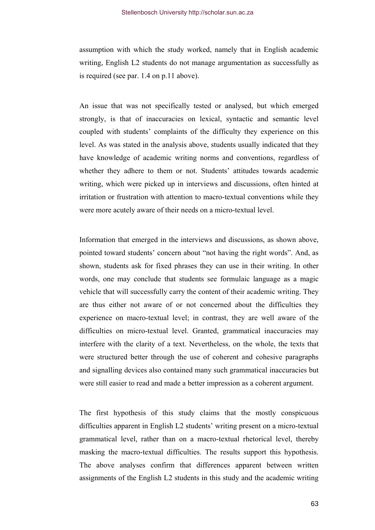assumption with which the study worked, namely that in English academic writing, English L2 students do not manage argumentation as successfully as is required (see par. 1.4 on p.11 above).

An issue that was not specifically tested or analysed, but which emerged strongly, is that of inaccuracies on lexical, syntactic and semantic level coupled with students' complaints of the difficulty they experience on this level. As was stated in the analysis above, students usually indicated that they have knowledge of academic writing norms and conventions, regardless of whether they adhere to them or not. Students' attitudes towards academic writing, which were picked up in interviews and discussions, often hinted at irritation or frustration with attention to macro-textual conventions while they were more acutely aware of their needs on a micro-textual level.

Information that emerged in the interviews and discussions, as shown above, pointed toward students' concern about "not having the right words". And, as shown, students ask for fixed phrases they can use in their writing. In other words, one may conclude that students see formulaic language as a magic vehicle that will successfully carry the content of their academic writing. They are thus either not aware of or not concerned about the difficulties they experience on macro-textual level; in contrast, they are well aware of the difficulties on micro-textual level. Granted, grammatical inaccuracies may interfere with the clarity of a text. Nevertheless, on the whole, the texts that were structured better through the use of coherent and cohesive paragraphs and signalling devices also contained many such grammatical inaccuracies but were still easier to read and made a better impression as a coherent argument.

The first hypothesis of this study claims that the mostly conspicuous difficulties apparent in English L2 students' writing present on a micro-textual grammatical level, rather than on a macro-textual rhetorical level, thereby masking the macro-textual difficulties. The results support this hypothesis. The above analyses confirm that differences apparent between written assignments of the English L2 students in this study and the academic writing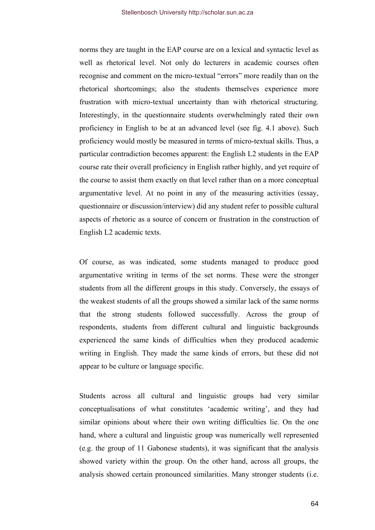norms they are taught in the EAP course are on a lexical and syntactic level as well as rhetorical level. Not only do lecturers in academic courses often recognise and comment on the micro-textual "errors" more readily than on the rhetorical shortcomings; also the students themselves experience more frustration with micro-textual uncertainty than with rhetorical structuring. Interestingly, in the questionnaire students overwhelmingly rated their own proficiency in English to be at an advanced level (see fig. 4.1 above). Such proficiency would mostly be measured in terms of micro-textual skills. Thus, a particular contradiction becomes apparent: the English L2 students in the EAP course rate their overall proficiency in English rather highly, and yet require of the course to assist them exactly on that level rather than on a more conceptual argumentative level. At no point in any of the measuring activities (essay, questionnaire or discussion/interview) did any student refer to possible cultural aspects of rhetoric as a source of concern or frustration in the construction of English L2 academic texts.

Of course, as was indicated, some students managed to produce good argumentative writing in terms of the set norms. These were the stronger students from all the different groups in this study. Conversely, the essays of the weakest students of all the groups showed a similar lack of the same norms that the strong students followed successfully. Across the group of respondents, students from different cultural and linguistic backgrounds experienced the same kinds of difficulties when they produced academic writing in English. They made the same kinds of errors, but these did not appear to be culture or language specific.

Students across all cultural and linguistic groups had very similar conceptualisations of what constitutes 'academic writing', and they had similar opinions about where their own writing difficulties lie. On the one hand, where a cultural and linguistic group was numerically well represented (e.g. the group of 11 Gabonese students), it was significant that the analysis showed variety within the group. On the other hand, across all groups, the analysis showed certain pronounced similarities. Many stronger students (i.e.

64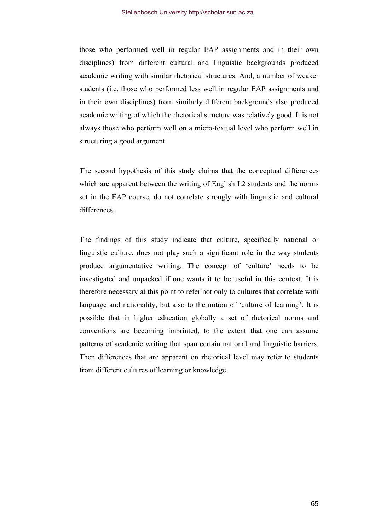those who performed well in regular EAP assignments and in their own disciplines) from different cultural and linguistic backgrounds produced academic writing with similar rhetorical structures. And, a number of weaker students (i.e. those who performed less well in regular EAP assignments and in their own disciplines) from similarly different backgrounds also produced academic writing of which the rhetorical structure was relatively good. It is not always those who perform well on a micro-textual level who perform well in structuring a good argument.

The second hypothesis of this study claims that the conceptual differences which are apparent between the writing of English L2 students and the norms set in the EAP course, do not correlate strongly with linguistic and cultural differences.

The findings of this study indicate that culture, specifically national or linguistic culture, does not play such a significant role in the way students produce argumentative writing. The concept of 'culture' needs to be investigated and unpacked if one wants it to be useful in this context. It is therefore necessary at this point to refer not only to cultures that correlate with language and nationality, but also to the notion of 'culture of learning'. It is possible that in higher education globally a set of rhetorical norms and conventions are becoming imprinted, to the extent that one can assume patterns of academic writing that span certain national and linguistic barriers. Then differences that are apparent on rhetorical level may refer to students from different cultures of learning or knowledge.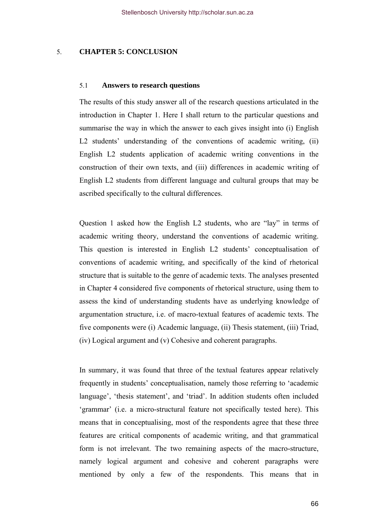# 5. **CHAPTER 5: CONCLUSION**

#### 5.1 **Answers to research questions**

The results of this study answer all of the research questions articulated in the introduction in Chapter 1. Here I shall return to the particular questions and summarise the way in which the answer to each gives insight into (i) English L<sub>2</sub> students' understanding of the conventions of academic writing, (ii) English L2 students application of academic writing conventions in the construction of their own texts, and (iii) differences in academic writing of English L2 students from different language and cultural groups that may be ascribed specifically to the cultural differences.

Question 1 asked how the English L2 students, who are "lay" in terms of academic writing theory, understand the conventions of academic writing. This question is interested in English L2 students' conceptualisation of conventions of academic writing, and specifically of the kind of rhetorical structure that is suitable to the genre of academic texts. The analyses presented in Chapter 4 considered five components of rhetorical structure, using them to assess the kind of understanding students have as underlying knowledge of argumentation structure, i.e. of macro-textual features of academic texts. The five components were (i) Academic language, (ii) Thesis statement, (iii) Triad, (iv) Logical argument and (v) Cohesive and coherent paragraphs.

In summary, it was found that three of the textual features appear relatively frequently in students' conceptualisation, namely those referring to 'academic language', 'thesis statement', and 'triad'. In addition students often included 'grammar' (i.e. a micro-structural feature not specifically tested here). This means that in conceptualising, most of the respondents agree that these three features are critical components of academic writing, and that grammatical form is not irrelevant. The two remaining aspects of the macro-structure, namely logical argument and cohesive and coherent paragraphs were mentioned by only a few of the respondents. This means that in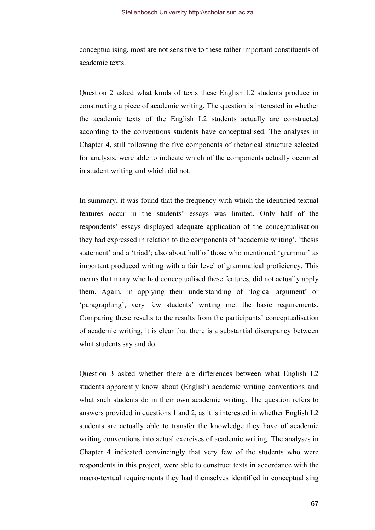conceptualising, most are not sensitive to these rather important constituents of academic texts.

Question 2 asked what kinds of texts these English L2 students produce in constructing a piece of academic writing. The question is interested in whether the academic texts of the English L2 students actually are constructed according to the conventions students have conceptualised. The analyses in Chapter 4, still following the five components of rhetorical structure selected for analysis, were able to indicate which of the components actually occurred in student writing and which did not.

In summary, it was found that the frequency with which the identified textual features occur in the students' essays was limited. Only half of the respondents' essays displayed adequate application of the conceptualisation they had expressed in relation to the components of 'academic writing', 'thesis statement' and a 'triad'; also about half of those who mentioned 'grammar' as important produced writing with a fair level of grammatical proficiency. This means that many who had conceptualised these features, did not actually apply them. Again, in applying their understanding of 'logical argument' or 'paragraphing', very few students' writing met the basic requirements. Comparing these results to the results from the participants' conceptualisation of academic writing, it is clear that there is a substantial discrepancy between what students say and do.

Question 3 asked whether there are differences between what English L2 students apparently know about (English) academic writing conventions and what such students do in their own academic writing. The question refers to answers provided in questions 1 and 2, as it is interested in whether English L2 students are actually able to transfer the knowledge they have of academic writing conventions into actual exercises of academic writing. The analyses in Chapter 4 indicated convincingly that very few of the students who were respondents in this project, were able to construct texts in accordance with the macro-textual requirements they had themselves identified in conceptualising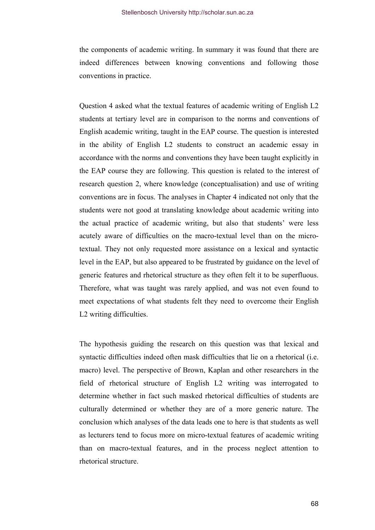the components of academic writing. In summary it was found that there are indeed differences between knowing conventions and following those conventions in practice.

Question 4 asked what the textual features of academic writing of English L2 students at tertiary level are in comparison to the norms and conventions of English academic writing, taught in the EAP course. The question is interested in the ability of English L2 students to construct an academic essay in accordance with the norms and conventions they have been taught explicitly in the EAP course they are following. This question is related to the interest of research question 2, where knowledge (conceptualisation) and use of writing conventions are in focus. The analyses in Chapter 4 indicated not only that the students were not good at translating knowledge about academic writing into the actual practice of academic writing, but also that students' were less acutely aware of difficulties on the macro-textual level than on the microtextual. They not only requested more assistance on a lexical and syntactic level in the EAP, but also appeared to be frustrated by guidance on the level of generic features and rhetorical structure as they often felt it to be superfluous. Therefore, what was taught was rarely applied, and was not even found to meet expectations of what students felt they need to overcome their English L2 writing difficulties.

The hypothesis guiding the research on this question was that lexical and syntactic difficulties indeed often mask difficulties that lie on a rhetorical (i.e. macro) level. The perspective of Brown, Kaplan and other researchers in the field of rhetorical structure of English L2 writing was interrogated to determine whether in fact such masked rhetorical difficulties of students are culturally determined or whether they are of a more generic nature. The conclusion which analyses of the data leads one to here is that students as well as lecturers tend to focus more on micro-textual features of academic writing than on macro-textual features, and in the process neglect attention to rhetorical structure.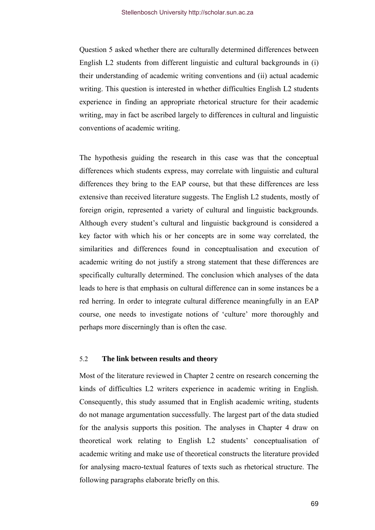Question 5 asked whether there are culturally determined differences between English L2 students from different linguistic and cultural backgrounds in (i) their understanding of academic writing conventions and (ii) actual academic writing. This question is interested in whether difficulties English L2 students experience in finding an appropriate rhetorical structure for their academic writing, may in fact be ascribed largely to differences in cultural and linguistic conventions of academic writing.

The hypothesis guiding the research in this case was that the conceptual differences which students express, may correlate with linguistic and cultural differences they bring to the EAP course, but that these differences are less extensive than received literature suggests. The English L2 students, mostly of foreign origin, represented a variety of cultural and linguistic backgrounds. Although every student's cultural and linguistic background is considered a key factor with which his or her concepts are in some way correlated, the similarities and differences found in conceptualisation and execution of academic writing do not justify a strong statement that these differences are specifically culturally determined. The conclusion which analyses of the data leads to here is that emphasis on cultural difference can in some instances be a red herring. In order to integrate cultural difference meaningfully in an EAP course, one needs to investigate notions of 'culture' more thoroughly and perhaps more discerningly than is often the case.

### 5.2 **The link between results and theory**

Most of the literature reviewed in Chapter 2 centre on research concerning the kinds of difficulties L2 writers experience in academic writing in English. Consequently, this study assumed that in English academic writing, students do not manage argumentation successfully. The largest part of the data studied for the analysis supports this position. The analyses in Chapter 4 draw on theoretical work relating to English L2 students' conceptualisation of academic writing and make use of theoretical constructs the literature provided for analysing macro-textual features of texts such as rhetorical structure. The following paragraphs elaborate briefly on this.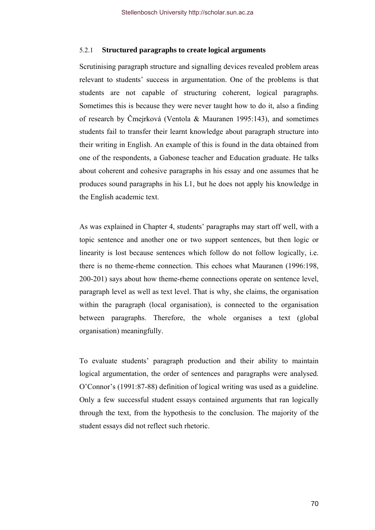### 5.2.1 **Structured paragraphs to create logical arguments**

Scrutinising paragraph structure and signalling devices revealed problem areas relevant to students' success in argumentation. One of the problems is that students are not capable of structuring coherent, logical paragraphs. Sometimes this is because they were never taught how to do it, also a finding of research by Čmejrková (Ventola & Mauranen 1995:143), and sometimes students fail to transfer their learnt knowledge about paragraph structure into their writing in English. An example of this is found in the data obtained from one of the respondents, a Gabonese teacher and Education graduate. He talks about coherent and cohesive paragraphs in his essay and one assumes that he produces sound paragraphs in his L1, but he does not apply his knowledge in the English academic text.

As was explained in Chapter 4, students' paragraphs may start off well, with a topic sentence and another one or two support sentences, but then logic or linearity is lost because sentences which follow do not follow logically, i.e. there is no theme-rheme connection. This echoes what Mauranen (1996:198, 200-201) says about how theme-rheme connections operate on sentence level, paragraph level as well as text level. That is why, she claims, the organisation within the paragraph (local organisation), is connected to the organisation between paragraphs. Therefore, the whole organises a text (global organisation) meaningfully.

To evaluate students' paragraph production and their ability to maintain logical argumentation, the order of sentences and paragraphs were analysed. O'Connor's (1991:87-88) definition of logical writing was used as a guideline. Only a few successful student essays contained arguments that ran logically through the text, from the hypothesis to the conclusion. The majority of the student essays did not reflect such rhetoric.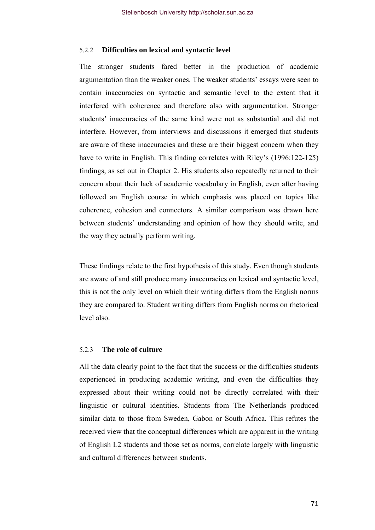### 5.2.2 **Difficulties on lexical and syntactic level**

The stronger students fared better in the production of academic argumentation than the weaker ones. The weaker students' essays were seen to contain inaccuracies on syntactic and semantic level to the extent that it interfered with coherence and therefore also with argumentation. Stronger students' inaccuracies of the same kind were not as substantial and did not interfere. However, from interviews and discussions it emerged that students are aware of these inaccuracies and these are their biggest concern when they have to write in English. This finding correlates with Riley's (1996:122-125) findings, as set out in Chapter 2. His students also repeatedly returned to their concern about their lack of academic vocabulary in English, even after having followed an English course in which emphasis was placed on topics like coherence, cohesion and connectors. A similar comparison was drawn here between students' understanding and opinion of how they should write, and the way they actually perform writing.

These findings relate to the first hypothesis of this study. Even though students are aware of and still produce many inaccuracies on lexical and syntactic level, this is not the only level on which their writing differs from the English norms they are compared to. Student writing differs from English norms on rhetorical level also.

#### 5.2.3 **The role of culture**

All the data clearly point to the fact that the success or the difficulties students experienced in producing academic writing, and even the difficulties they expressed about their writing could not be directly correlated with their linguistic or cultural identities. Students from The Netherlands produced similar data to those from Sweden, Gabon or South Africa. This refutes the received view that the conceptual differences which are apparent in the writing of English L2 students and those set as norms, correlate largely with linguistic and cultural differences between students.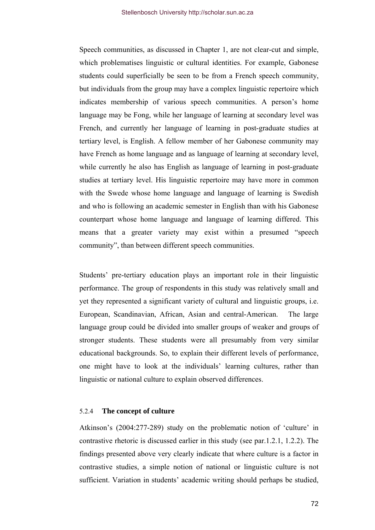Speech communities, as discussed in Chapter 1, are not clear-cut and simple, which problematises linguistic or cultural identities. For example, Gabonese students could superficially be seen to be from a French speech community, but individuals from the group may have a complex linguistic repertoire which indicates membership of various speech communities. A person's home language may be Fong, while her language of learning at secondary level was French, and currently her language of learning in post-graduate studies at tertiary level, is English. A fellow member of her Gabonese community may have French as home language and as language of learning at secondary level, while currently he also has English as language of learning in post-graduate studies at tertiary level. His linguistic repertoire may have more in common with the Swede whose home language and language of learning is Swedish and who is following an academic semester in English than with his Gabonese counterpart whose home language and language of learning differed. This means that a greater variety may exist within a presumed "speech community", than between different speech communities.

Students' pre-tertiary education plays an important role in their linguistic performance. The group of respondents in this study was relatively small and yet they represented a significant variety of cultural and linguistic groups, i.e. European, Scandinavian, African, Asian and central-American. The large language group could be divided into smaller groups of weaker and groups of stronger students. These students were all presumably from very similar educational backgrounds. So, to explain their different levels of performance, one might have to look at the individuals' learning cultures, rather than linguistic or national culture to explain observed differences.

#### 5.2.4 **The concept of culture**

Atkinson's (2004:277-289) study on the problematic notion of 'culture' in contrastive rhetoric is discussed earlier in this study (see par.1.2.1, 1.2.2). The findings presented above very clearly indicate that where culture is a factor in contrastive studies, a simple notion of national or linguistic culture is not sufficient. Variation in students' academic writing should perhaps be studied,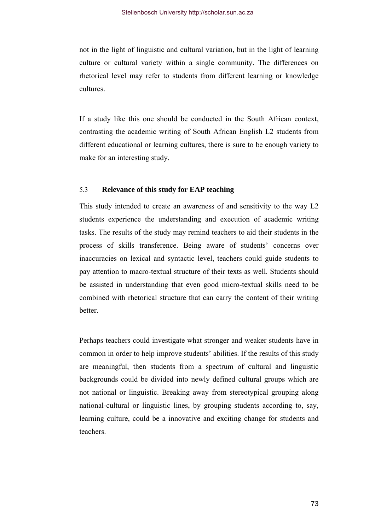not in the light of linguistic and cultural variation, but in the light of learning culture or cultural variety within a single community. The differences on rhetorical level may refer to students from different learning or knowledge cultures.

If a study like this one should be conducted in the South African context, contrasting the academic writing of South African English L2 students from different educational or learning cultures, there is sure to be enough variety to make for an interesting study.

## 5.3 **Relevance of this study for EAP teaching**

This study intended to create an awareness of and sensitivity to the way L2 students experience the understanding and execution of academic writing tasks. The results of the study may remind teachers to aid their students in the process of skills transference. Being aware of students' concerns over inaccuracies on lexical and syntactic level, teachers could guide students to pay attention to macro-textual structure of their texts as well. Students should be assisted in understanding that even good micro-textual skills need to be combined with rhetorical structure that can carry the content of their writing better.

Perhaps teachers could investigate what stronger and weaker students have in common in order to help improve students' abilities. If the results of this study are meaningful, then students from a spectrum of cultural and linguistic backgrounds could be divided into newly defined cultural groups which are not national or linguistic. Breaking away from stereotypical grouping along national-cultural or linguistic lines, by grouping students according to, say, learning culture, could be a innovative and exciting change for students and teachers.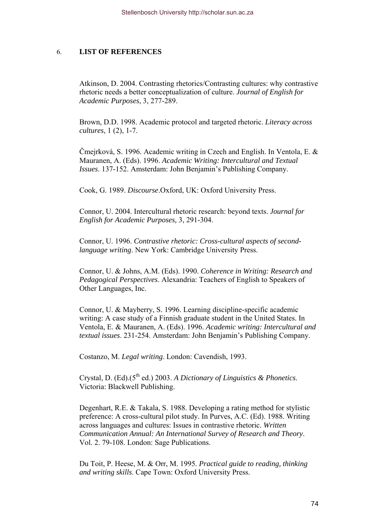## 6. **LIST OF REFERENCES**

Atkinson, D. 2004. Contrasting rhetorics/Contrasting cultures: why contrastive rhetoric needs a better conceptualization of culture. *Journal of English for Academic Purposes*, 3, 277-289.

Brown, D.D. 1998. Academic protocol and targeted rhetoric. *Literacy across cultures*, 1 (2), 1-7.

Čmejrková, S. 1996. Academic writing in Czech and English. In Ventola, E. & Mauranen, A. (Eds). 1996. *Academic Writing: Intercultural and Textual Issues*. 137-152. Amsterdam: John Benjamin's Publishing Company.

Cook, G. 1989. *Discourse*.Oxford, UK: Oxford University Press.

Connor, U. 2004. Intercultural rhetoric research: beyond texts. *Journal for English for Academic Purposes,* 3, 291-304.

Connor, U. 1996. *Contrastive rhetoric: Cross-cultural aspects of secondlanguage writing*. New York: Cambridge University Press.

Connor, U. & Johns, A.M. (Eds). 1990. *Coherence in Writing: Research and Pedagogical Perspectives*. Alexandria: Teachers of English to Speakers of Other Languages, Inc.

Connor, U. & Mayberry, S. 1996. Learning discipline-specific academic writing: A case study of a Finnish graduate student in the United States. In Ventola, E. & Mauranen, A. (Eds). 1996. *Academic writing: Intercultural and textual issues*. 231-254. Amsterdam: John Benjamin's Publishing Company.

Costanzo, M. *Legal writing*. London: Cavendish, 1993.

Crystal, D. (Ed).(5<sup>th</sup> ed.) 2003. *A Dictionary of Linguistics & Phonetics.* Victoria: Blackwell Publishing.

Degenhart, R.E. & Takala, S. 1988. Developing a rating method for stylistic preference: A cross-cultural pilot study. In Purves, A.C. (Ed). 1988. Writing across languages and cultures: Issues in contrastive rhetoric. *Written Communication Annual: An International Survey of Research and Theory*. Vol. 2. 79-108. London: Sage Publications.

Du Toit, P. Heese, M. & Orr, M. 1995. *Practical guide to reading, thinking and writing skills*. Cape Town: Oxford University Press.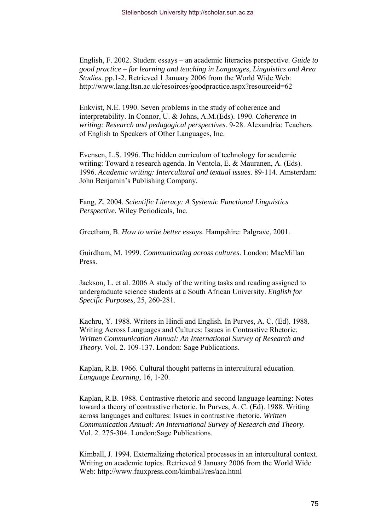English, F. 2002. Student essays – an academic literacies perspective. *Guide to good practice – for learning and teaching in Languages, Linguistics and Area Studies*. pp.1-2. Retrieved 1 January 2006 from the World Wide Web: <http://www.lang.ltsn.ac.uk/resoirces/goodpractice.aspx?resourceid=62>

Enkvist, N.E. 1990. Seven problems in the study of coherence and interpretability. In Connor, U. & Johns, A.M.(Eds). 1990. *Coherence in writing: Research and pedagogical perspectives*. 9-28. Alexandria: Teachers of English to Speakers of Other Languages, Inc.

Evensen, L.S. 1996. The hidden curriculum of technology for academic writing: Toward a research agenda. In Ventola, E. & Mauranen, A. (Eds). 1996. *Academic writing: Intercultural and textual issues*. 89-114. Amsterdam: John Benjamin's Publishing Company.

Fang, Z. 2004. *Scientific Literacy: A Systemic Functional Linguistics Perspective*. Wiley Periodicals, Inc.

Greetham, B. *How to write better essays*. Hampshire: Palgrave, 2001.

Guirdham, M. 1999. *Communicating across cultures*. London: MacMillan Press.

Jackson, L. et al. 2006 A study of the writing tasks and reading assigned to undergraduate science students at a South African University. *English for Specific Purposes,* 25, 260-281.

Kachru, Y. 1988. Writers in Hindi and English. In Purves, A. C. (Ed). 1988. Writing Across Languages and Cultures: Issues in Contrastive Rhetoric. *Written Communication Annual: An International Survey of Research and Theory*. Vol. 2. 109-137. London: Sage Publications.

Kaplan, R.B. 1966. Cultural thought patterns in intercultural education. *Language Learning,* 16, 1-20.

Kaplan, R.B. 1988. Contrastive rhetoric and second language learning: Notes toward a theory of contrastive rhetoric. In Purves, A. C. (Ed). 1988. Writing across languages and cultures: Issues in contrastive rhetoric. *Written Communication Annual: An International Survey of Research and Theory*. Vol. 2. 275-304. London:Sage Publications.

Kimball, J. 1994. Externalizing rhetorical processes in an intercultural context. Writing on academic topics. Retrieved 9 January 2006 from the World Wide Web: <http://www.fauxpress.com/kimball/res/aca.html>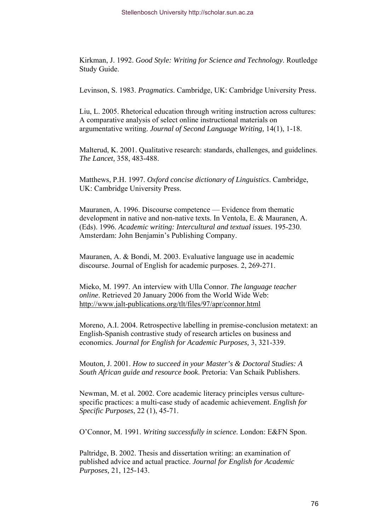Kirkman, J. 1992. *Good Style: Writing for Science and Technology*. Routledge Study Guide.

Levinson, S. 1983. *Pragmatics*. Cambridge, UK: Cambridge University Press.

Liu, L. 2005. Rhetorical education through writing instruction across cultures: A comparative analysis of select online instructional materials on argumentative writing. *Journal of Second Language Writing,* 14(1), 1-18.

Malterud, K. 2001. Qualitative research: standards, challenges, and guidelines. *The Lancet,* 358, 483-488.

Matthews, P.H. 1997. *Oxford concise dictionary of Linguistics*. Cambridge, UK: Cambridge University Press.

Mauranen, A. 1996. Discourse competence — Evidence from thematic development in native and non-native texts. In Ventola, E. & Mauranen, A. (Eds). 1996. *Academic writing: Intercultural and textual issues*. 195-230. Amsterdam: John Benjamin's Publishing Company.

Mauranen, A. & Bondi, M. 2003. Evaluative language use in academic discourse. Journal of English for academic purposes. 2, 269-271.

Mieko, M. 1997. An interview with Ulla Connor. *The language teacher online*. Retrieved 20 January 2006 from the World Wide Web: <http://www.jalt-publications.org/tlt/files/97/apr/connor.html>

Moreno, A.I. 2004. Retrospective labelling in premise-conclusion metatext: an English-Spanish contrastive study of research articles on business and economics. *Journal for English for Academic Purposes,* 3, 321-339.

Mouton, J. 2001. *How to succeed in your Master's & Doctoral Studies: A South African guide and resource book*. Pretoria: Van Schaik Publishers.

Newman, M. et al. 2002. Core academic literacy principles versus culturespecific practices: a multi-case study of academic achievement. *English for Specific Purposes*, 22 (1), 45-71.

O'Connor, M. 1991. *Writing successfully in science*. London: E&FN Spon.

Paltridge, B. 2002. Thesis and dissertation writing: an examination of published advice and actual practice. *Journal for English for Academic Purposes,* 21, 125-143.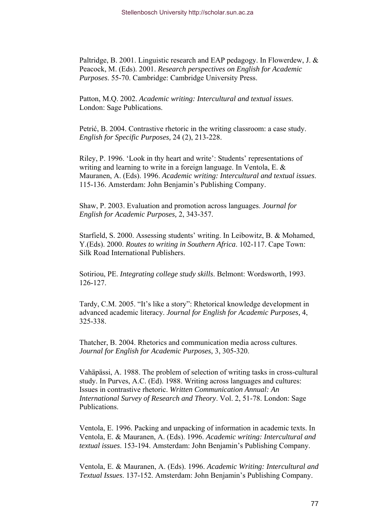Paltridge, B. 2001. Linguistic research and EAP pedagogy. In Flowerdew, J. & Peacock, M. (Eds). 2001. *Research perspectives on English for Academic Purposes*. 55-70. Cambridge: Cambridge University Press.

Patton, M.Q. 2002. *Academic writing: Intercultural and textual issues*. London: Sage Publications.

Petrić, B. 2004. Contrastive rhetoric in the writing classroom: a case study. *English for Specific Purposes,* 24 (2), 213-228.

Riley, P. 1996. 'Look in thy heart and write': Students' representations of writing and learning to write in a foreign language. In Ventola, E. & Mauranen, A. (Eds). 1996. *Academic writing: Intercultural and textual issues*. 115-136. Amsterdam: John Benjamin's Publishing Company.

Shaw, P. 2003. Evaluation and promotion across languages. *Journal for English for Academic Purposes,* 2, 343-357.

Starfield, S. 2000. Assessing students' writing. In Leibowitz, B. & Mohamed, Y.(Eds). 2000. *Routes to writing in Southern Africa*. 102-117. Cape Town: Silk Road International Publishers.

Sotiriou, PE. *Integrating college study skills*. Belmont: Wordsworth, 1993. 126-127.

Tardy, C.M. 2005. "It's like a story": Rhetorical knowledge development in advanced academic literacy. *Journal for English for Academic Purposes,* 4, 325-338.

Thatcher, B. 2004. Rhetorics and communication media across cultures. *Journal for English for Academic Purposes,* 3, 305-320.

Vahäpässi, A. 1988. The problem of selection of writing tasks in cross-cultural study. In Purves, A.C. (Ed). 1988. Writing across languages and cultures: Issues in contrastive rhetoric. *Written Communication Annual: An International Survey of Research and Theory*. Vol. 2, 51-78. London: Sage Publications.

Ventola, E. 1996. Packing and unpacking of information in academic texts. In Ventola, E. & Mauranen, A. (Eds). 1996. *Academic writing: Intercultural and textual issues*. 153-194. Amsterdam: John Benjamin's Publishing Company.

Ventola, E. & Mauranen, A. (Eds). 1996. *Academic Writing: Intercultural and Textual Issues*. 137-152. Amsterdam: John Benjamin's Publishing Company.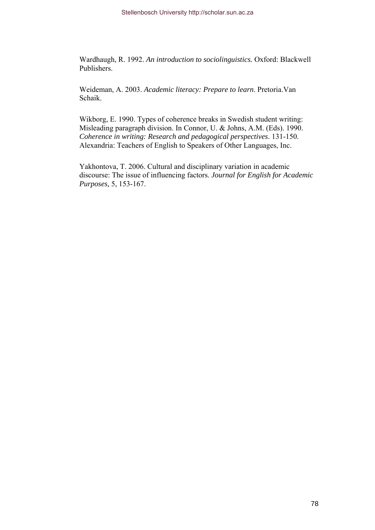Wardhaugh, R. 1992. *An introduction to sociolinguistics.* Oxford: Blackwell Publishers.

Weideman, A. 2003. *Academic literacy: Prepare to learn*. Pretoria.Van Schaik.

Wikborg, E. 1990. Types of coherence breaks in Swedish student writing: Misleading paragraph division. In Connor, U. & Johns, A.M. (Eds). 1990. *Coherence in writing: Research and pedagogical perspectives*. 131-150. Alexandria: Teachers of English to Speakers of Other Languages, Inc.

Yakhontova, T. 2006. Cultural and disciplinary variation in academic discourse: The issue of influencing factors. *Journal for English for Academic Purposes,* 5, 153-167.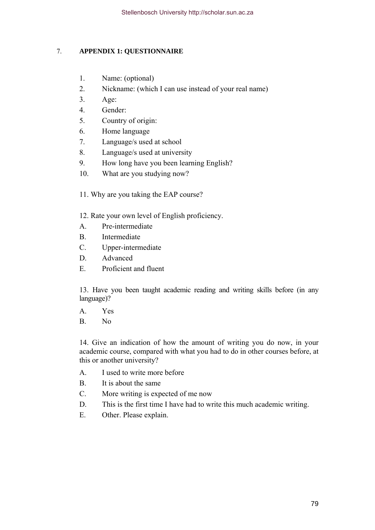# 7. **APPENDIX 1: QUESTIONNAIRE**

- 1. Name: (optional)
- 2. Nickname: (which I can use instead of your real name)
- 3. Age:
- 4. Gender:
- 5. Country of origin:
- 6. Home language
- 7. Language/s used at school
- 8. Language/s used at university
- 9. How long have you been learning English?
- 10. What are you studying now?
- 11. Why are you taking the EAP course?
- 12. Rate your own level of English proficiency.
- A. Pre-intermediate
- B. Intermediate
- C. Upper-intermediate
- D. Advanced
- E. Proficient and fluent

13. Have you been taught academic reading and writing skills before (in any language)?

- A. Yes
- B. No

14. Give an indication of how the amount of writing you do now, in your academic course, compared with what you had to do in other courses before, at this or another university?

- A. I used to write more before
- B. It is about the same
- C. More writing is expected of me now
- D. This is the first time I have had to write this much academic writing.
- E. Other. Please explain.